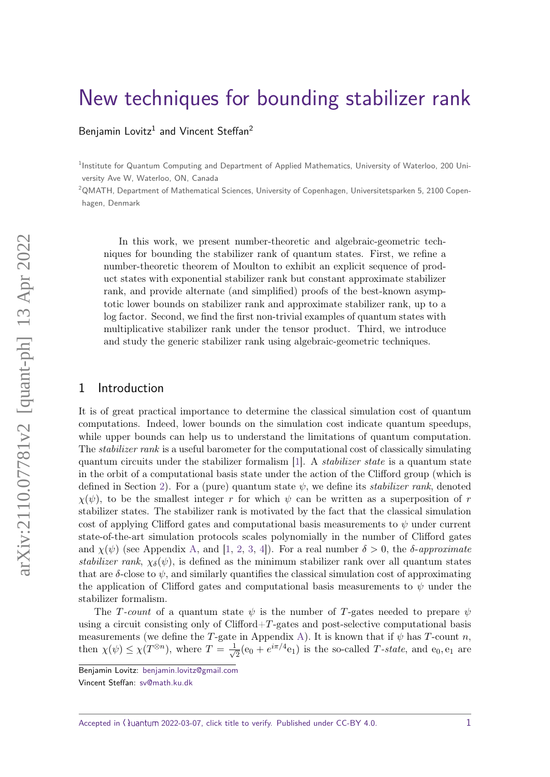# [New techniques for bounding stabilizer rank](https://quantum-journal.org/?s=New%20techniques%20for%20bounding%20stabilizer%20rank&reason=title-click)

[Benjamin Lovitz](https://orcid.org/0000-0002-2445-2701)<sup>1</sup> and [Vincent Steffan](https://orcid.org/0000-0003-4913-6833)<sup>2</sup>

<sup>1</sup>Institute for Quantum Computing and Department of Applied Mathematics, University of Waterloo, 200 University Ave W, Waterloo, ON, Canada

 $2$ QMATH, Department of Mathematical Sciences, University of Copenhagen, Universitetsparken 5, 2100 Copenhagen, Denmark

In this work, we present number-theoretic and algebraic-geometric techniques for bounding the stabilizer rank of quantum states. First, we refine a number-theoretic theorem of Moulton to exhibit an explicit sequence of product states with exponential stabilizer rank but constant approximate stabilizer rank, and provide alternate (and simplified) proofs of the best-known asymptotic lower bounds on stabilizer rank and approximate stabilizer rank, up to a log factor. Second, we find the first non-trivial examples of quantum states with multiplicative stabilizer rank under the tensor product. Third, we introduce and study the generic stabilizer rank using algebraic-geometric techniques.

## 1 Introduction

It is of great practical importance to determine the classical simulation cost of quantum computations. Indeed, lower bounds on the simulation cost indicate quantum speedups, while upper bounds can help us to understand the limitations of quantum computation. The *stabilizer rank* is a useful barometer for the computational cost of classically simulating quantum circuits under the stabilizer formalism [\[1\]](#page-15-0). A *stabilizer state* is a quantum state in the orbit of a computational basis state under the action of the Clifford group (which is defined in Section [2\)](#page-4-0). For a (pure) quantum state  $\psi$ , we define its *stabilizer rank*, denoted  $\chi(\psi)$ , to be the smallest integer *r* for which  $\psi$  can be written as a superposition of *r* stabilizer states. The stabilizer rank is motivated by the fact that the classical simulation cost of applying Clifford gates and computational basis measurements to  $\psi$  under current state-of-the-art simulation protocols scales polynomially in the number of Clifford gates and  $\chi(\psi)$  (see Appendix [A,](#page-17-0) and [\[1,](#page-15-0) [2,](#page-15-1) [3,](#page-16-0) [4\]](#page-16-1)). For a real number  $\delta > 0$ , the  $\delta$ -approximate *stabilizer rank,*  $\chi_{\delta}(\psi)$ , is defined as the minimum stabilizer rank over all quantum states that are  $\delta$ -close to  $\psi$ , and similarly quantifies the classical simulation cost of approximating the application of Clifford gates and computational basis measurements to *ψ* under the stabilizer formalism.

The *T*-count of a quantum state *ψ* is the number of *T*-gates needed to prepare *ψ* using a circuit consisting only of Clifford+*T*-gates and post-selective computational basis measurements (we define the *T*-gate in Appendix [A\)](#page-17-0). It is known that if  $\psi$  has *T*-count *n*, then  $\chi(\psi) \leq \chi(T^{\otimes n})$ , where  $T = \frac{1}{\sqrt{2}}$  $\frac{1}{2}$ (e<sub>0</sub> +  $e^{i\pi/4}$ e<sub>1</sub>) is the so-called *T*-state, and e<sub>0</sub>, e<sub>1</sub> are

Accepted in  $\langle \rangle$ uantum 2022-03-07, click title to verify. Published under CC-BY 4.0.  $1$ 

Benjamin Lovitz: [benjamin.lovitz@gmail.com](mailto:benjamin.lovitz@gmail.com)

Vincent Steffan: [sv@math.ku.dk](mailto:sv@math.ku.dk)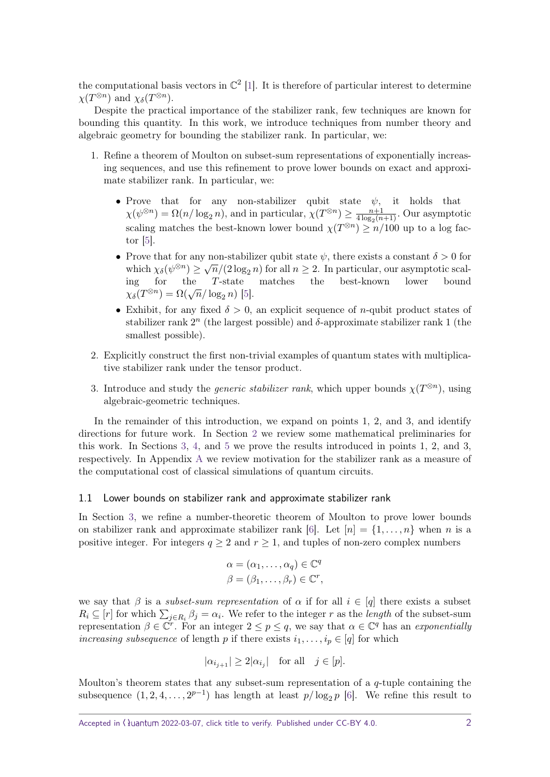the computational basis vectors in  $\mathbb{C}^2$  [\[1\]](#page-15-0). It is therefore of particular interest to determine  $\chi(T^{\otimes n})$  and  $\chi_{\delta}(T^{\otimes n})$ .

Despite the practical importance of the stabilizer rank, few techniques are known for bounding this quantity. In this work, we introduce techniques from number theory and algebraic geometry for bounding the stabilizer rank. In particular, we:

- 1. Refine a theorem of Moulton on subset-sum representations of exponentially increasing sequences, and use this refinement to prove lower bounds on exact and approximate stabilizer rank. In particular, we:
	- Prove that for any non-stabilizer qubit state *ψ*, it holds that  $\chi(\psi^{\otimes n}) = \Omega(n/\log_2 n)$ , and in particular,  $\chi(T^{\otimes n}) \geq \frac{n+1}{4\log_2(n)}$  $\frac{n+1}{4 \log_2(n+1)}$ . Our asymptotic scaling matches the best-known lower bound  $\chi(T^{\otimes n}) \ge n/100$  up to a log factor [\[5\]](#page-16-2).
	- Prove that for any non-stabilizer qubit state  $\psi$ , there exists a constant  $\delta > 0$  for which  $\chi_{\delta}(\psi^{\otimes n}) \ge \sqrt{n}/(2 \log_2 n)$  for all  $n \ge 2$ . In particular, our asymptotic scaling for the *T*-state matches the best-known lower bound  $\chi_{\delta}(T^{\otimes n}) = \Omega(\sqrt{n}/\log_2 n)$  [\[5\]](#page-16-2).
	- Exhibit, for any fixed  $\delta > 0$ , an explicit sequence of *n*-qubit product states of stabilizer rank  $2<sup>n</sup>$  (the largest possible) and  $\delta$ -approximate stabilizer rank 1 (the smallest possible).
- 2. Explicitly construct the first non-trivial examples of quantum states with multiplicative stabilizer rank under the tensor product.
- 3. Introduce and study the *generic stabilizer rank*, which upper bounds  $\chi(T^{\otimes n})$ , using algebraic-geometric techniques.

In the remainder of this introduction, we expand on points 1, 2, and 3, and identify directions for future work. In Section [2](#page-4-0) we review some mathematical preliminaries for this work. In Sections [3,](#page-5-0) [4,](#page-11-0) and [5](#page-12-0) we prove the results introduced in points 1, 2, and 3, respectively. In Appendix [A](#page-17-0) we review motivation for the stabilizer rank as a measure of the computational cost of classical simulations of quantum circuits.

#### <span id="page-1-0"></span>1.1 Lower bounds on stabilizer rank and approximate stabilizer rank

In Section [3,](#page-5-0) we refine a number-theoretic theorem of Moulton to prove lower bounds on stabilizer rank and approximate stabilizer rank [\[6\]](#page-16-3). Let  $[n] = \{1, \ldots, n\}$  when *n* is a positive integer. For integers  $q > 2$  and  $r > 1$ , and tuples of non-zero complex numbers

$$
\alpha = (\alpha_1, \dots, \alpha_q) \in \mathbb{C}^q
$$

$$
\beta = (\beta_1, \dots, \beta_r) \in \mathbb{C}^r,
$$

we say that  $\beta$  is a *subset-sum representation* of  $\alpha$  if for all  $i \in [q]$  there exists a subset  $R_i \subseteq [r]$  for which  $\sum_{j \in R_i} \beta_j = \alpha_i$ . We refer to the integer *r* as the *length* of the subset-sum representation  $\beta \in \mathbb{C}^r$ . For an integer  $2 \leq p \leq q$ , we say that  $\alpha \in \mathbb{C}^q$  has an exponentially increasing subsequence of length p if there exists  $i_1, \ldots, i_p \in [q]$  for which

$$
|\alpha_{i_{j+1}}| \ge 2|\alpha_{i_j}| \quad \text{for all} \quad j \in [p].
$$

Moulton's theorem states that any subset-sum representation of a *q*-tuple containing the subsequence  $(1, 2, 4, \ldots, 2^{p-1})$  has length at least  $p/\log_2 p$  [\[6\]](#page-16-3). We refine this result to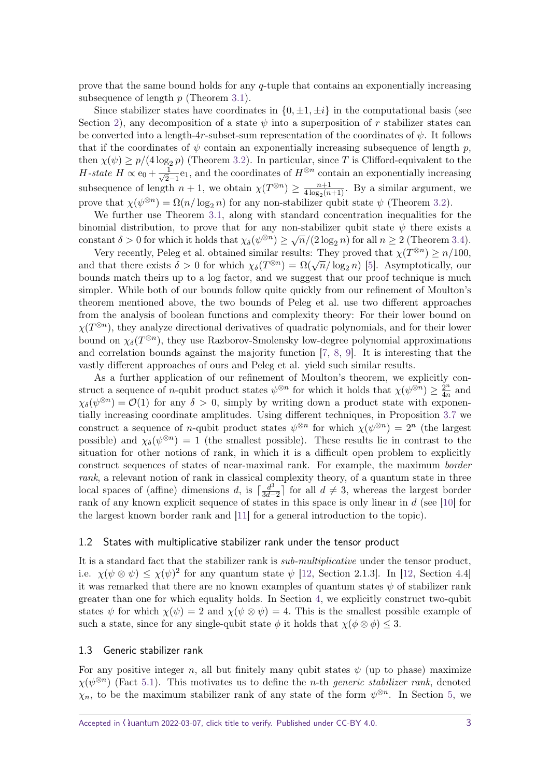prove that the same bound holds for any *q*-tuple that contains an exponentially increasing subsequence of length *p* (Theorem [3.1\)](#page-6-0).

Since stabilizer states have coordinates in  $\{0, \pm 1, \pm i\}$  in the computational basis (see Section [2\)](#page-4-0), any decomposition of a state  $\psi$  into a superposition of r stabilizer states can be converted into a length-4*r*-subset-sum representation of the coordinates of *ψ*. It follows that if the coordinates of  $\psi$  contain an exponentially increasing subsequence of length  $p$ , then  $\chi(\psi) \geq p/(4 \log_2 p)$  (Theorem [3.2\)](#page-6-1). In particular, since T is Clifford-equivalent to the *H*-state  $H \propto e_0 + \frac{1}{\sqrt{2}}$  $\frac{1}{2-1}$ e<sub>1</sub>, and the coordinates of  $H^{\otimes n}$  contain an exponentially increasing subsequence of length  $n + 1$ , we obtain  $\chi(T^{\otimes n}) \geq \frac{n+1}{4 \log_2(n)}$  $\frac{n+1}{4 \log_2(n+1)}$ . By a similar argument, we prove that  $\chi(\psi^{\otimes n}) = \Omega(n/\log_2 n)$  for any non-stabilizer qubit state  $\psi$  (Theorem [3.2\)](#page-6-1).

We further use Theorem [3.1,](#page-6-0) along with standard concentration inequalities for the binomial distribution, to prove that for any non-stabilizer qubit state  $\psi$  there exists a constant  $\delta > 0$  for which it holds that  $\chi_{\delta}(\psi^{\otimes n}) \ge \sqrt{n}/(2 \log_2 n)$  for all  $n \ge 2$  (Theorem [3.4\)](#page-8-0).

Very recently, Peleg et al. obtained similar results: They proved that  $\chi(T^{\otimes n}) \ge n/100$ , and that there exists  $\delta > 0$  for which  $\chi_{\delta}(T^{\otimes n}) = \Omega(\sqrt{n}/\log_2 n)$  [\[5\]](#page-16-2). Asymptotically, our bounds match theirs up to a log factor, and we suggest that our proof technique is much simpler. While both of our bounds follow quite quickly from our refinement of Moulton's theorem mentioned above, the two bounds of Peleg et al. use two different approaches from the analysis of boolean functions and complexity theory: For their lower bound on  $\chi(T^{\otimes n})$ , they analyze directional derivatives of quadratic polynomials, and for their lower bound on  $\chi_{\delta}(T^{\otimes n})$ , they use Razborov-Smolensky low-degree polynomial approximations and correlation bounds against the majority function [\[7,](#page-16-4) [8,](#page-16-5) [9\]](#page-16-6). It is interesting that the vastly different approaches of ours and Peleg et al. yield such similar results.

As a further application of our refinement of Moulton's theorem, we explicitly construct a sequence of *n*-qubit product states  $\psi^{\otimes n}$  for which it holds that  $\chi(\psi^{\otimes n}) \geq \frac{2^n}{4^n}$  $rac{2^n}{4n}$  and  $\chi_{\delta}(\psi^{\otimes n}) = \mathcal{O}(1)$  for any  $\delta > 0$ , simply by writing down a product state with exponentially increasing coordinate amplitudes. Using different techniques, in Proposition [3.7](#page-10-0) we construct a sequence of *n*-qubit product states  $\psi^{\otimes n}$  for which  $\chi(\psi^{\otimes n}) = 2^n$  (the largest possible) and  $\chi_{\delta}(\psi^{\otimes n}) = 1$  (the smallest possible). These results lie in contrast to the situation for other notions of rank, in which it is a difficult open problem to explicitly construct sequences of states of near-maximal rank. For example, the maximum border rank, a relevant notion of rank in classical complexity theory, of a quantum state in three local spaces of (affine) dimensions *d*, is  $\int \frac{d^3}{3d}$  $\frac{d^3}{3d-2}$  for all  $d \neq 3$ , whereas the largest border rank of any known explicit sequence of states in this space is only linear in *d* (see [\[10\]](#page-16-7) for the largest known border rank and [\[11\]](#page-16-8) for a general introduction to the topic).

#### 1.2 States with multiplicative stabilizer rank under the tensor product

It is a standard fact that the stabilizer rank is *sub-multiplicative* under the tensor product, i.e.  $\chi(\psi \otimes \psi) \leq \chi(\psi)^2$  for any quantum state  $\psi$  [\[12,](#page-16-9) Section 2.1.3]. In [12, Section 4.4] it was remarked that there are no known examples of quantum states  $\psi$  of stabilizer rank greater than one for which equality holds. In Section [4,](#page-11-0) we explicitly construct two-qubit states  $\psi$  for which  $\chi(\psi) = 2$  and  $\chi(\psi \otimes \psi) = 4$ . This is the smallest possible example of such a state, since for any single-qubit state  $\phi$  it holds that  $\chi(\phi \otimes \phi) \leq 3$ .

#### 1.3 Generic stabilizer rank

For any positive integer *n*, all but finitely many qubit states  $\psi$  (up to phase) maximize  $\chi(\psi^{\otimes n})$  (Fact [5.1\)](#page-12-1). This motivates us to define the *n*-th *generic stabilizer rank*, denoted  $\chi_n$ , to be the maximum stabilizer rank of any state of the form  $\psi^{\otimes n}$ . In Section [5,](#page-12-0) we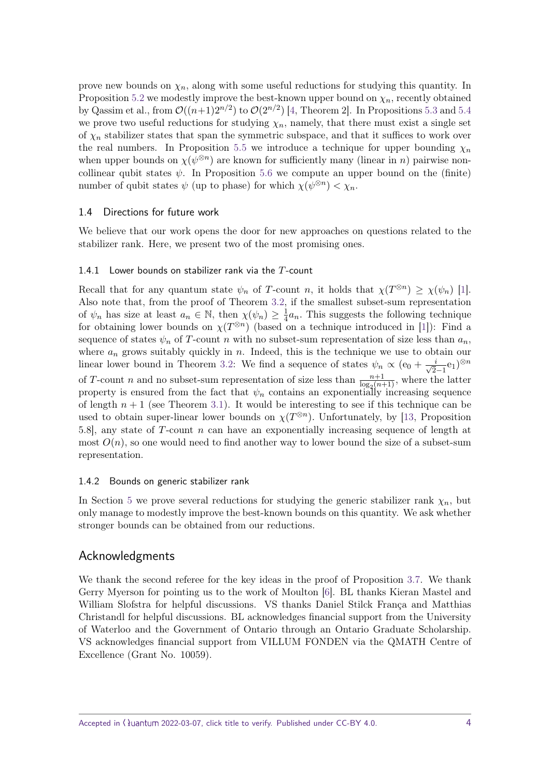prove new bounds on  $\chi_n$ , along with some useful reductions for studying this quantity. In Proposition [5.2](#page-13-0) we modestly improve the best-known upper bound on  $\chi_n$ , recently obtained by Qassim et al., from  $\mathcal{O}((n+1)2^{n/2})$  to  $\mathcal{O}(2^{n/2})$  [\[4,](#page-16-1) Theorem 2]. In Propositions [5.3](#page-13-1) and [5.4](#page-14-0) we prove two useful reductions for studying  $\chi_n$ , namely, that there must exist a single set of  $\chi_n$  stabilizer states that span the symmetric subspace, and that it suffices to work over the real numbers. In Proposition [5.5](#page-15-2) we introduce a technique for upper bounding  $\chi_n$ when upper bounds on  $\chi(\psi^{\otimes n})$  are known for sufficiently many (linear in *n*) pairwise noncollinear qubit states  $\psi$ . In Proposition [5.6](#page-15-3) we compute an upper bound on the (finite) number of qubit states  $\psi$  (up to phase) for which  $\chi(\psi^{\otimes n}) < \chi_n$ .

#### 1.4 Directions for future work

We believe that our work opens the door for new approaches on questions related to the stabilizer rank. Here, we present two of the most promising ones.

#### 1.4.1 Lower bounds on stabilizer rank via the *T*-count

Recall that for any quantum state  $\psi_n$  of *T*-count *n*, it holds that  $\chi(T^{\otimes n}) \geq \chi(\psi_n)$  [\[1\]](#page-15-0). Also note that, from the proof of Theorem [3.2,](#page-6-1) if the smallest subset-sum representation of  $\psi_n$  has size at least  $a_n \in \mathbb{N}$ , then  $\chi(\psi_n) \geq \frac{1}{4}$  $\frac{1}{4}a_n$ . This suggests the following technique for obtaining lower bounds on  $\chi(T^{\otimes n})$  (based on a technique introduced in [\[1\]](#page-15-0)): Find a sequence of states  $\psi_n$  of *T*-count *n* with no subset-sum representation of size less than  $a_n$ , where  $a_n$  grows suitably quickly in *n*. Indeed, this is the technique we use to obtain our linear lower bound in Theorem [3.2:](#page-6-1) We find a sequence of states  $\psi_n \propto (e_0 + \frac{i}{\sqrt{2}})$  $\frac{i}{2-1}$ e<sub>1</sub>)<sup>⊗*n*</sup> of *T*-count *n* and no subset-sum representation of size less than  $\frac{n+1}{\log_2(n+1)}$ , where the latter property is ensured from the fact that  $\psi_n$  contains an exponentially increasing sequence of length  $n + 1$  (see Theorem [3.1\)](#page-6-0). It would be interesting to see if this technique can be used to obtain super-linear lower bounds on  $\chi(T^{\otimes n})$ . Unfortunately, by [\[13,](#page-16-10) Proposition 5.8], any state of *T*-count *n* can have an exponentially increasing sequence of length at most  $O(n)$ , so one would need to find another way to lower bound the size of a subset-sum representation.

#### 1.4.2 Bounds on generic stabilizer rank

In Section [5](#page-12-0) we prove several reductions for studying the generic stabilizer rank  $\chi_n$ , but only manage to modestly improve the best-known bounds on this quantity. We ask whether stronger bounds can be obtained from our reductions.

## Acknowledgments

We thank the second referee for the key ideas in the proof of Proposition [3.7.](#page-10-0) We thank Gerry Myerson for pointing us to the work of Moulton [\[6\]](#page-16-3). BL thanks Kieran Mastel and William Slofstra for helpful discussions. VS thanks Daniel Stilck França and Matthias Christandl for helpful discussions. BL acknowledges financial support from the University of Waterloo and the Government of Ontario through an Ontario Graduate Scholarship. VS acknowledges financial support from VILLUM FONDEN via the QMATH Centre of Excellence (Grant No. 10059).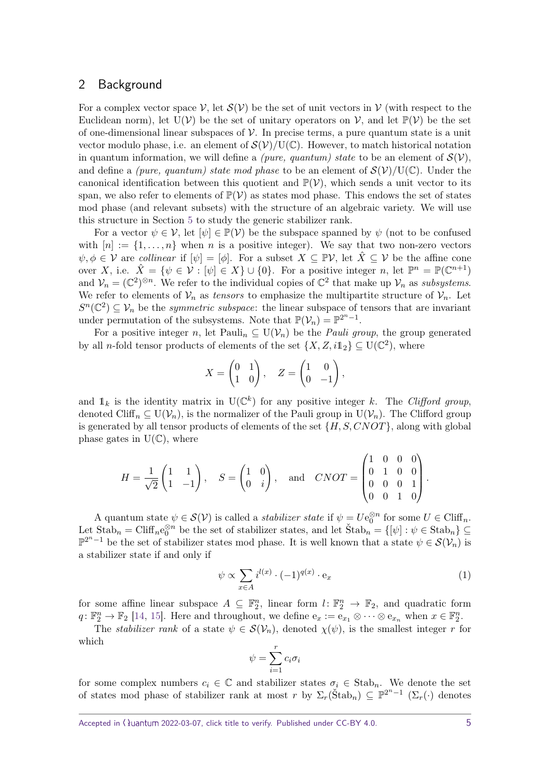## <span id="page-4-0"></span>2 Background

For a complex vector space  $\mathcal V$ , let  $\mathcal S(\mathcal V)$  be the set of unit vectors in  $\mathcal V$  (with respect to the Euclidean norm), let  $U(V)$  be the set of unitary operators on V, and let  $\mathbb{P}(V)$  be the set of one-dimensional linear subspaces of  $\mathcal V$ . In precise terms, a pure quantum state is a unit vector modulo phase, i.e. an element of  $\mathcal{S}(\mathcal{V})/U(\mathbb{C})$ . However, to match historical notation in quantum information, we will define a *(pure, quantum)* state to be an element of  $\mathcal{S}(\mathcal{V})$ , and define a *(pure, quantum) state mod phase* to be an element of  $\mathcal{S}(\mathcal{V})/U(\mathbb{C})$ . Under the canonical identification between this quotient and  $\mathbb{P}(\mathcal{V})$ , which sends a unit vector to its span, we also refer to elements of  $\mathbb{P}(\mathcal{V})$  as states mod phase. This endows the set of states mod phase (and relevant subsets) with the structure of an algebraic variety. We will use this structure in Section [5](#page-12-0) to study the generic stabilizer rank.

For a vector  $\psi \in \mathcal{V}$ , let  $[\psi] \in \mathbb{P}(\mathcal{V})$  be the subspace spanned by  $\psi$  (not to be confused with  $[n] := \{1, \ldots, n\}$  when *n* is a positive integer). We say that two non-zero vectors  $\psi, \phi \in \mathcal{V}$  are *collinear* if  $[\psi] = [\phi]$ . For a subset  $X \subseteq \mathbb{P}V$ , let  $\hat{X} \subseteq \mathcal{V}$  be the affine cone over *X*, i.e.  $\hat{X} = \{\psi \in \mathcal{V} : [\psi] \in X\} \cup \{0\}$ . For a positive integer *n*, let  $\mathbb{P}^n = \mathbb{P}(\mathbb{C}^{n+1})$ and  $V_n = (\mathbb{C}^2)^{\otimes n}$ . We refer to the individual copies of  $\mathbb{C}^2$  that make up  $V_n$  as *subsystems*. We refer to elements of  $V_n$  as *tensors* to emphasize the multipartite structure of  $V_n$ . Let  $S<sup>n</sup>(\mathbb{C}^2) \subseteq V_n$  be the *symmetric subspace*: the linear subspace of tensors that are invariant under permutation of the subsystems. Note that  $\mathbb{P}(\mathcal{V}_n) = \mathbb{P}^{2^n-1}$ .

For a positive integer *n*, let Pauli<sub>n</sub>  $\subseteq U(V_n)$  be the *Pauli group*, the group generated by all *n*-fold tensor products of elements of the set  $\{X, Z, i1_2\} \subseteq U(\mathbb{C}^2)$ , where

$$
X = \begin{pmatrix} 0 & 1 \\ 1 & 0 \end{pmatrix}, \quad Z = \begin{pmatrix} 1 & 0 \\ 0 & -1 \end{pmatrix},
$$

and  $\mathbb{1}_k$  is the identity matrix in  $U(\mathbb{C}^k)$  for any positive integer *k*. The Clifford group, denoted Cliff<sub>n</sub>  $\subseteq U(\mathcal{V}_n)$ , is the normalizer of the Pauli group in  $U(\mathcal{V}_n)$ . The Clifford group is generated by all tensor products of elements of the set {*H, S, CNOT*}, along with global phase gates in  $U(\mathbb{C})$ , where

$$
H = \frac{1}{\sqrt{2}} \begin{pmatrix} 1 & 1 \\ 1 & -1 \end{pmatrix}, \quad S = \begin{pmatrix} 1 & 0 \\ 0 & i \end{pmatrix}, \text{ and } CNOT = \begin{pmatrix} 1 & 0 & 0 & 0 \\ 0 & 1 & 0 & 0 \\ 0 & 0 & 0 & 1 \\ 0 & 0 & 1 & 0 \end{pmatrix}.
$$

A quantum state  $\psi \in \mathcal{S}(\mathcal{V})$  is called a *stabilizer state* if  $\psi = U e_0^{\otimes n}$  for some  $U \in \text{Cliff}_n$ . Let  $\text{Stab}_n = \text{Cliff}_n e_0^{\otimes n}$  be the set of stabilizer states, and let  $\text{Stab}_n = \{[\psi] : \psi \in \text{Stab}_n\} \subseteq$  $\mathbb{P}^{2n-1}$  be the set of stabilizer states mod phase. It is well known that a state *ψ* ∈  $\mathcal{S}(\mathcal{V}_n)$  is a stabilizer state if and only if

$$
\psi \propto \sum_{x \in A} i^{l(x)} \cdot (-1)^{q(x)} \cdot \mathbf{e}_x \tag{1}
$$

for some affine linear subspace  $A \subseteq \mathbb{F}_2^n$ , linear form  $l: \mathbb{F}_2^n \to \mathbb{F}_2$ , and quadratic form  $q: \mathbb{F}_2^n \to \mathbb{F}_2$  [\[14,](#page-16-11) [15\]](#page-16-12). Here and throughout, we define  $e_x := e_{x_1} \otimes \cdots \otimes e_{x_n}$  when  $x \in \mathbb{F}_2^n$ .

The *stabilizer rank* of a state  $\psi \in \mathcal{S}(\mathcal{V}_n)$ , denoted  $\chi(\psi)$ , is the smallest integer *r* for which

<span id="page-4-1"></span>
$$
\psi = \sum_{i=1}^{r} c_i \sigma_i
$$

for some complex numbers  $c_i \in \mathbb{C}$  and stabilizer states  $\sigma_i \in \text{Stab}_n$ . We denote the set of states mod phase of stabilizer rank at most *r* by  $\Sigma_r(\text{Štab}_n) \subseteq \mathbb{P}^{2^n-1}$  ( $\Sigma_r(\cdot)$  denotes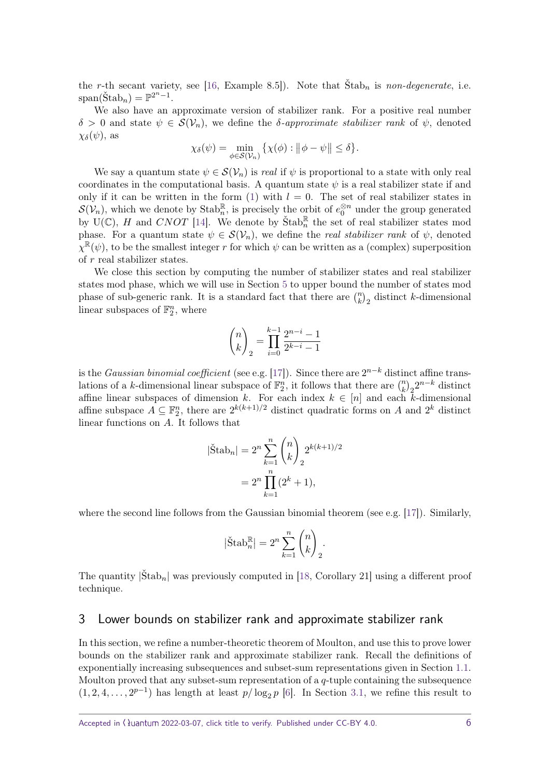the *r*-th secant variety, see [\[16,](#page-16-13) Example 8.5]). Note that  $\text{Štab}_n$  is *non-degenerate*, i.e.  $\text{span}(\check{\text{Stab}}_n) = \mathbb{P}^{2^n - 1}.$ 

We also have an approximate version of stabilizer rank. For a positive real number  $\delta > 0$  and state  $\psi \in \mathcal{S}(\mathcal{V}_n)$ , we define the *δ*-approximate stabilizer rank of  $\psi$ , denoted *χδ*(*ψ*), as

$$
\chi_{\delta}(\psi) = \min_{\phi \in \mathcal{S}(\mathcal{V}_n)} \{ \chi(\phi) : ||\phi - \psi|| \le \delta \}.
$$

We say a quantum state  $\psi \in \mathcal{S}(\mathcal{V}_n)$  is *real* if  $\psi$  is proportional to a state with only real coordinates in the computational basis. A quantum state  $\psi$  is a real stabilizer state if and only if it can be written in the form  $(1)$  with  $l = 0$ . The set of real stabilizer states in  $S(\mathcal{V}_n)$ , which we denote by  $\text{Stab}_n^{\mathbb{R}}$ , is precisely the orbit of  $e_0^{\otimes n}$  under the group generated by  $U(\mathbb{C})$ , *H* and *CNOT* [\[14\]](#page-16-11). We denote by  $\text{Stab}_n^{\mathbb{R}}$  the set of real stabilizer states mod phase. For a quantum state  $\psi \in \mathcal{S}(\mathcal{V}_n)$ , we define the *real stabilizer rank* of  $\psi$ , denoted  $\chi^{\mathbb{R}}(\psi)$ , to be the smallest integer *r* for which  $\psi$  can be written as a (complex) superposition of *r* real stabilizer states.

We close this section by computing the number of stabilizer states and real stabilizer states mod phase, which we will use in Section [5](#page-12-0) to upper bound the number of states mod phase of sub-generic rank. It is a standard fact that there are  $\binom{n}{k}_2$  distinct *k*-dimensional linear subspaces of  $\mathbb{F}_2^n$ , where

$$
\binom{n}{k}_2 = \prod_{i=0}^{k-1} \frac{2^{n-i} - 1}{2^{k-i} - 1}
$$

is the *Gaussian binomial coefficient* (see e.g. [\[17\]](#page-16-14)). Since there are  $2^{n-k}$  distinct affine translations of a *k*-dimensional linear subspace of  $\mathbb{F}_2^n$ , it follows that there are  $\binom{n}{k}$ <sub>2</sub> $2^{n-k}$  distinct ations of a *k*-dimensional linear subspace of  $r_2$ , it follows that there are  $\binom{k}{k}$   $\binom{2}{k}$  distinct affine subspace  $A \subseteq \mathbb{F}_2^n$ , there are  $2^{k(k+1)/2}$  distinct quadratic forms on *A* and  $2^k$  distinct linear functions on *A*. It follows that

$$
|\text{Štab}_n| = 2^n \sum_{k=1}^n \binom{n}{k}_2 2^{k(k+1)/2}
$$

$$
= 2^n \prod_{k=1}^n (2^k + 1),
$$

where the second line follows from the Gaussian binomial theorem (see e.g. [\[17\]](#page-16-14)). Similarly,

$$
|\check{\mathrm{Stab}}_n^{\mathbb{R}}| = 2^n \sum_{k=1}^n \binom{n}{k}_2.
$$

The quantity  $|\text{\rm Štab}}_n|$  was previously computed in [\[18,](#page-16-15) Corollary 21] using a different proof technique.

## <span id="page-5-0"></span>3 Lower bounds on stabilizer rank and approximate stabilizer rank

In this section, we refine a number-theoretic theorem of Moulton, and use this to prove lower bounds on the stabilizer rank and approximate stabilizer rank. Recall the definitions of exponentially increasing subsequences and subset-sum representations given in Section [1.1.](#page-1-0) Moulton proved that any subset-sum representation of a *q*-tuple containing the subsequence  $(1, 2, 4, \ldots, 2^{p-1})$  has length at least  $p/\log_2 p$  [\[6\]](#page-16-3). In Section [3.1,](#page-6-2) we refine this result to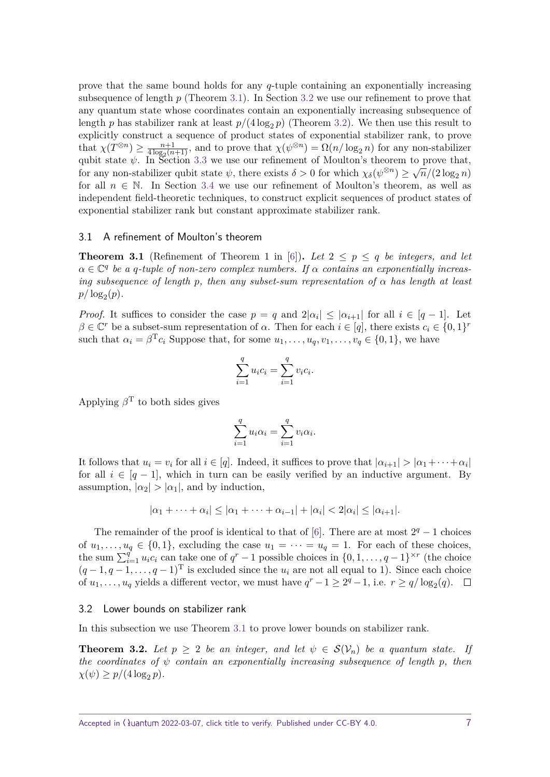prove that the same bound holds for any *q*-tuple containing an exponentially increasing subsequence of length *p* (Theorem [3.1\)](#page-6-0). In Section [3.2](#page-6-3) we use our refinement to prove that any quantum state whose coordinates contain an exponentially increasing subsequence of length *p* has stabilizer rank at least  $p/(4 \log_2 p)$  (Theorem [3.2\)](#page-6-1). We then use this result to explicitly construct a sequence of product states of exponential stabilizer rank, to prove that  $\chi(T^{\otimes n}) \geq \frac{n+1}{4 \log_2(n)}$  $\frac{n+1}{4 \log_2(n+1)}$ , and to prove that  $\chi(\psi^{\otimes n}) = \Omega(n/\log_2 n)$  for any non-stabilizer qubit state  $\psi$ . In Section [3.3](#page-7-0) we use our refinement of Moulton's theorem to prove that, for any non-stabilizer qubit state  $\psi$ , there exists  $\delta > 0$  for which  $\chi_{\delta}(\psi^{\otimes n}) \ge \sqrt{n}/(2 \log_2 n)$ for all  $n \in \mathbb{N}$ . In Section [3.4](#page-9-0) we use our refinement of Moulton's theorem, as well as independent field-theoretic techniques, to construct explicit sequences of product states of exponential stabilizer rank but constant approximate stabilizer rank.

#### <span id="page-6-2"></span>3.1 A refinement of Moulton's theorem

<span id="page-6-0"></span>**Theorem 3.1** (Refinement of Theorem 1 in [\[6\]](#page-16-3)). Let  $2 \leq p \leq q$  be integers, and let  $\alpha \in \mathbb{C}^q$  be a *q*-tuple of non-zero complex numbers. If  $\alpha$  contains an exponentially increas*ing subsequence of length p, then any subset-sum representation of α has length at least*  $p/\log_2(p)$ .

*Proof.* It suffices to consider the case  $p = q$  and  $2|\alpha_i| \leq |\alpha_{i+1}|$  for all  $i \in [q-1]$ . Let  $\beta \in \mathbb{C}^r$  be a subset-sum representation of  $\alpha$ . Then for each  $i \in [q]$ , there exists  $c_i \in \{0,1\}^r$ such that  $\alpha_i = \beta^T c_i$  Suppose that, for some  $u_1, \ldots, u_q, v_1, \ldots, v_q \in \{0, 1\}$ , we have

$$
\sum_{i=1}^{q} u_i c_i = \sum_{i=1}^{q} v_i c_i.
$$

Applying  $\beta^T$  to both sides gives

$$
\sum_{i=1}^{q} u_i \alpha_i = \sum_{i=1}^{q} v_i \alpha_i.
$$

It follows that  $u_i = v_i$  for all  $i \in [q]$ . Indeed, it suffices to prove that  $|a_{i+1}| > |a_1 + \cdots + a_i|$ for all  $i \in [q-1]$ , which in turn can be easily verified by an inductive argument. By assumption,  $|\alpha_2| > |\alpha_1|$ , and by induction,

$$
|\alpha_1+\cdots+\alpha_i|\leq |\alpha_1+\cdots+\alpha_{i-1}|+|\alpha_i|<2|\alpha_i|\leq |\alpha_{i+1}|.
$$

The remainder of the proof is identical to that of [\[6\]](#page-16-3). There are at most  $2^q - 1$  choices of  $u_1, \ldots, u_q \in \{0, 1\}$ , excluding the case  $u_1 = \cdots = u_q = 1$ . For each of these choices, the sum  $\sum_{i=1}^{q} u_i c_i$  can take one of  $q^r - 1$  possible choices in  $\{0, 1, \ldots, q - 1\}^{\times r}$  (the choice  $(q-1, q-1, \ldots, q-1)^T$  is excluded since the  $u_i$  are not all equal to 1). Since each choice of  $u_1, \ldots, u_q$  yields a different vector, we must have  $q^r - 1 \geq 2^q - 1$ , i.e.  $r \geq q/\log_2(q)$ .

#### <span id="page-6-3"></span>3.2 Lower bounds on stabilizer rank

In this subsection we use Theorem [3.1](#page-6-0) to prove lower bounds on stabilizer rank.

<span id="page-6-1"></span>**Theorem 3.2.** Let  $p \geq 2$  be an integer, and let  $\psi \in \mathcal{S}(\mathcal{V}_n)$  be a quantum state. If *the coordinates of ψ contain an exponentially increasing subsequence of length p, then*  $\chi(\psi) \geq p/(4 \log_2 p)$ .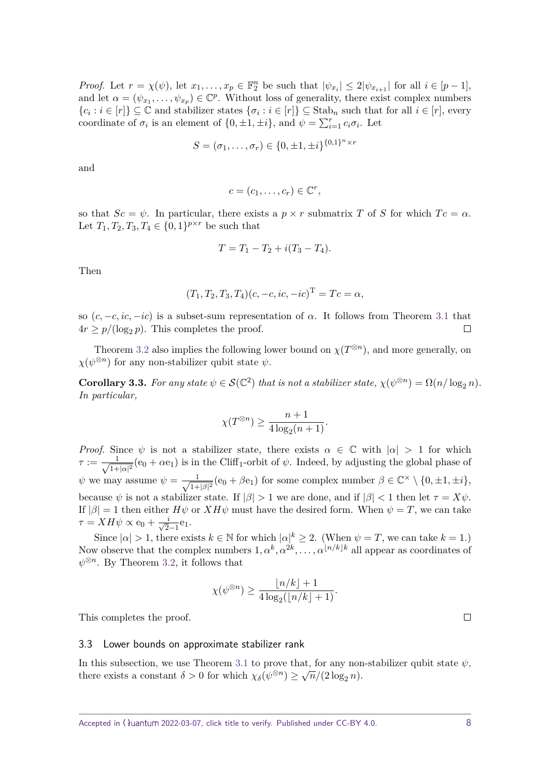*Proof.* Let  $r = \chi(\psi)$ , let  $x_1, \ldots, x_p \in \mathbb{F}_2^n$  be such that  $|\psi_{x_i}| \leq 2|\psi_{x_{i+1}}|$  for all  $i \in [p-1]$ , and let  $\alpha = (\psi_{x_1}, \dots, \psi_{x_p}) \in \mathbb{C}^p$ . Without loss of generality, there exist complex numbers  ${c_i : i \in [r]} \subseteq \mathbb{C}$  and stabilizer states  ${\sigma_i : i \in [r]} \subseteq$  Stab<sub>n</sub> such that for all  $i \in [r]$ , every coordinate of  $\sigma_i$  is an element of  $\{0, \pm 1, \pm i\}$ , and  $\psi = \sum_{i=1}^r c_i \sigma_i$ . Let

$$
S = (\sigma_1, \dots, \sigma_r) \in \{0, \pm 1, \pm i\}^{\{0, 1\}^n \times r}
$$

and

$$
c=(c_1,\ldots,c_r)\in\mathbb{C}^r,
$$

so that  $Sc = \psi$ . In particular, there exists a  $p \times r$  submatrix *T* of *S* for which  $Tc = \alpha$ . Let  $T_1, T_2, T_3, T_4 \in \{0, 1\}^{p \times r}$  be such that

$$
T = T_1 - T_2 + i(T_3 - T_4).
$$

Then

$$
(T_1, T_2, T_3, T_4)(c, -c, ic, -ic)^{\mathrm{T}} = Tc = \alpha,
$$

so  $(c, -c, ic, -ic)$  is a subset-sum representation of  $\alpha$ . It follows from Theorem [3.1](#page-6-0) that  $4r \geq p/(\log_2 p)$ . This completes the proof.  $\Box$ 

Theorem [3.2](#page-6-1) also implies the following lower bound on  $\chi(T^{\otimes n})$ , and more generally, on  $\chi(\psi^{\otimes n})$  for any non-stabilizer qubit state  $\psi$ .

<span id="page-7-1"></span>**Corollary 3.3.** For any state  $\psi \in \mathcal{S}(\mathbb{C}^2)$  that is not a stabilizer state,  $\chi(\psi^{\otimes n}) = \Omega(n/\log_2 n)$ . *In particular,*

$$
\chi(T^{\otimes n}) \ge \frac{n+1}{4\log_2(n+1)}.
$$

*Proof.* Since  $\psi$  is not a stabilizer state, there exists  $\alpha \in \mathbb{C}$  with  $|\alpha| > 1$  for which  $\tau := -\frac{1}{\sqrt{1+\epsilon}}$  $\frac{1}{1+|\alpha|^2}$  (e<sub>0</sub> +  $\alpha$ e<sub>1</sub>) is in the Cliff<sub>1</sub>-orbit of  $\psi$ . Indeed, by adjusting the global phase of  $\psi$  we may assume  $\psi = \frac{1}{\sqrt{1-\psi}}$  $\frac{1}{1+|\beta|^2}$  (e<sub>0</sub> +  $\beta$ e<sub>1</sub>) for some complex number  $\beta \in \mathbb{C}^\times \setminus \{0, \pm 1, \pm i\},$ because  $\psi$  is not a stabilizer state. If  $|\beta| > 1$  we are done, and if  $|\beta| < 1$  then let  $\tau = X\psi$ . If  $|\beta| = 1$  then either  $H\psi$  or  $XH\psi$  must have the desired form. When  $\psi = T$ , we can take  $\tau = XH\psi \propto e_0 + \frac{i}{\sqrt{2}}$  $rac{i}{2-1}e_1$ .

Since  $| \alpha | > 1$ , there exists  $k \in \mathbb{N}$  for which  $| \alpha |^k \geq 2$ . (When  $\psi = T$ , we can take  $k = 1$ .) Now observe that the complex numbers  $1, \alpha^k, \alpha^{2k}, \ldots, \alpha^{\lfloor n/k \rfloor k}$  all appear as coordinates of  $\psi^{\otimes n}$ . By Theorem [3.2,](#page-6-1) it follows that

$$
\chi(\psi^{\otimes n}) \ge \frac{\lfloor n/k \rfloor + 1}{4 \log_2(\lfloor n/k \rfloor + 1)}.
$$

This completes the proof.

#### <span id="page-7-0"></span>3.3 Lower bounds on approximate stabilizer rank

In this subsection, we use Theorem [3.1](#page-6-0) to prove that, for any non-stabilizer qubit state  $\psi$ , there exists a constant  $\delta > 0$  for which  $\chi_{\delta}(\psi^{\otimes n}) \ge \sqrt{n}/(2\log_2 n)$ .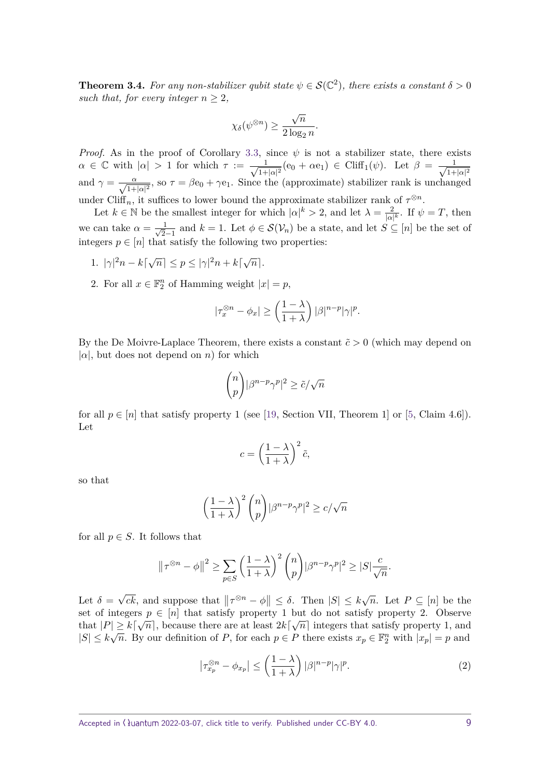<span id="page-8-0"></span>**Theorem 3.4.** For any non-stabilizer qubit state  $\psi \in \mathcal{S}(\mathbb{C}^2)$ , there exists a constant  $\delta > 0$ *such that, for every integer*  $n > 2$ *,* 

$$
\chi_\delta(\psi^{\otimes n}) \geq \frac{\sqrt{n}}{2\log_2 n}.
$$

*Proof.* As in the proof of Corollary [3.3,](#page-7-1) since  $\psi$  is not a stabilizer state, there exists  $\alpha \in \mathbb{C}$  with  $|\alpha| > 1$  for which  $\tau := \frac{1}{\sqrt{1-\alpha}}$  $\frac{1}{1+|\alpha|^2}$ (e<sub>0</sub> +  $\alpha$ e<sub>1</sub>) ∈ Cliff<sub>1</sub>( $\psi$ ). Let  $\beta = \frac{1}{\sqrt{1+|\alpha|^2}}$  $(1+|\alpha|^2)$ and  $\gamma = \frac{\alpha}{\sqrt{1+|\alpha|^2}}$ , so  $\tau = \beta e_0 + \gamma e_1$ . Since the (approximate) stabilizer rank is unchanged under Cliff<sub>n</sub>, it suffices to lower bound the approximate stabilizer rank of  $\tau^{\otimes n}$ .

Let  $k \in \mathbb{N}$  be the smallest integer for which  $|\alpha|^k > 2$ , and let  $\lambda = \frac{2}{\sqrt{n}}$  $\frac{2}{|\alpha|^k}$ . If  $\psi = T$ , then we can take  $\alpha = \frac{1}{\sqrt{2}}$  $\frac{1}{2-1}$  and *k* = 1. Let  $\phi \in \mathcal{S}(\mathcal{V}_n)$  be a state, and let  $S \subseteq [n]$  be the set of integers  $p \in [n]$  that satisfy the following two properties:

- 1.  $|\gamma|^2 n k[\sqrt{n}] \leq p \leq |\gamma|^2 n + k[\sqrt{n}].$
- 2. For all  $x \in \mathbb{F}_2^n$  of Hamming weight  $|x| = p$ ,

$$
|\tau_x^{\otimes n} - \phi_x| \ge \left(\frac{1-\lambda}{1+\lambda}\right) |\beta|^{n-p} |\gamma|^p.
$$

By the De Moivre-Laplace Theorem, there exists a constant  $\tilde{c} > 0$  (which may depend on  $|\alpha|$ , but does not depend on *n*) for which

$$
\binom{n}{p}|\beta^{n-p}\gamma^p|^2 \ge \tilde{c}/\sqrt{n}
$$

for all  $p \in [n]$  that satisfy property 1 (see [\[19,](#page-16-16) Section VII, Theorem 1] or [\[5,](#page-16-2) Claim 4.6]). Let

$$
c = \left(\frac{1-\lambda}{1+\lambda}\right)^2 \tilde{c},
$$

so that

$$
\left(\frac{1-\lambda}{1+\lambda}\right)^2 \binom{n}{p} |\beta^{n-p} \gamma^p|^2 \ge c/\sqrt{n}
$$

for all  $p \in S$ . It follows that

$$
\|\tau^{\otimes n} - \phi\|^2 \ge \sum_{p \in S} \left(\frac{1-\lambda}{1+\lambda}\right)^2 \binom{n}{p} |\beta^{n-p} \gamma^p|^2 \ge |S| \frac{c}{\sqrt{n}}.
$$

Let  $\delta =$ √  $\overline{ck}$ , and suppose that  $\|\tau^{\otimes n} - \phi\| \leq \delta$ . Then  $|S| \leq k\sqrt{n}$ . Let  $P \subseteq [n]$  be the set of integers  $p \in [n]$  that satisfy property 1 but do not satisfy property 2. Observe that  $|P| \ge k[\sqrt{n}]$ , because there are at least  $2k[\sqrt{n}]$  integers that satisfy property 1, and  $|S| \leq k\sqrt{n}$ . By our definition of *P*, for each  $p \in P$  there exists  $x_p \in \mathbb{F}_2^n$  with  $|x_p| = p$  and

<span id="page-8-1"></span>
$$
\left|\tau_{x_p}^{\otimes n} - \phi_{x_p}\right| \le \left(\frac{1-\lambda}{1+\lambda}\right) |\beta|^{n-p} |\gamma|^p. \tag{2}
$$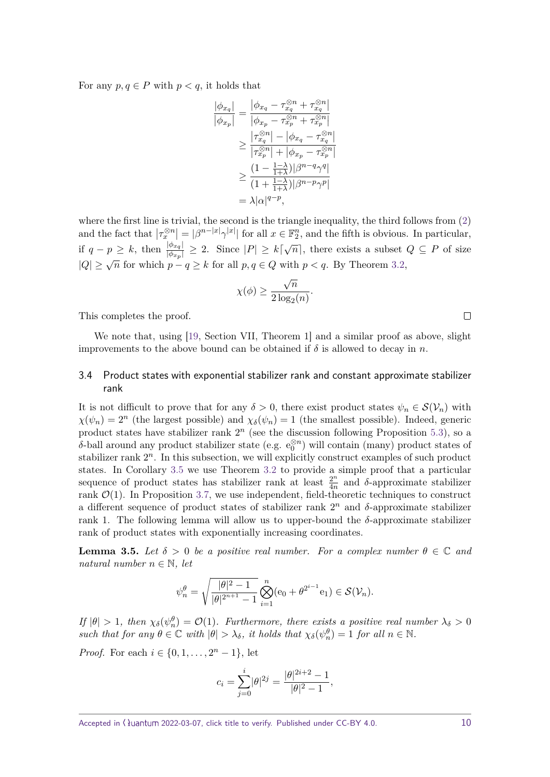For any  $p, q \in P$  with  $p < q$ , it holds that

$$
\begin{aligned} \frac{|\phi_{x_q}|}{|\phi_{x_p}|} &= \frac{|\phi_{x_q} - \tau_{x_q}^{\otimes n} + \tau_{x_q}^{\otimes n}|}{|\phi_{x_p} - \tau_{x_p}^{\otimes n} + \tau_{x_p}^{\otimes n}|} \\ &\geq \frac{|\tau_{x_q}^{\otimes n}| - |\phi_{x_q} - \tau_{x_q}^{\otimes n}|}{|\tau_{x_p}^{\otimes n}| + |\phi_{x_p} - \tau_{x_p}^{\otimes n}|} \\ &\geq \frac{(1 - \frac{1 - \lambda}{1 + \lambda})|\beta^{n - q} \gamma^q|}{(1 + \frac{1 - \lambda}{1 + \lambda})|\beta^{n - p} \gamma^p|} \\ &= \lambda|\alpha|^{q-p}, \end{aligned}
$$

where the first line is trivial, the second is the triangle inequality, the third follows from [\(2\)](#page-8-1) and the fact that  $|\tau_x^{\otimes n}| = |\beta^{n-|x|} \gamma^{|x|}$  for all  $x \in \mathbb{F}_2^n$ , and the fifth is obvious. In particular, if  $q - p \geq k$ , then  $\frac{|\phi_{x_q}|}{|p|}$  $\frac{|\phi_{x_q}|}{|\phi_{x_p}|} \geq 2$ . Since  $|P| \geq k\lceil \sqrt{n} \rceil$ , there exists a subset  $Q \subseteq P$  of size  $|Q| \geq \sqrt{n}$  for which  $p - q \geq k$  for all  $p, q \in Q$  with  $p < q$ . By Theorem [3.2,](#page-6-1)

$$
\chi(\phi) \ge \frac{\sqrt{n}}{2\log_2(n)}.
$$

This completes the proof.

We note that, using [\[19,](#page-16-16) Section VII, Theorem 1] and a similar proof as above, slight improvements to the above bound can be obtained if  $\delta$  is allowed to decay in *n*.

#### <span id="page-9-0"></span>3.4 Product states with exponential stabilizer rank and constant approximate stabilizer rank

It is not difficult to prove that for any  $\delta > 0$ , there exist product states  $\psi_n \in \mathcal{S}(\mathcal{V}_n)$  with  $\chi(\psi_n) = 2^n$  (the largest possible) and  $\chi_{\delta}(\psi_n) = 1$  (the smallest possible). Indeed, generic product states have stabilizer rank  $2^n$  (see the discussion following Proposition [5.3\)](#page-13-1), so a  $\delta$ -ball around any product stabilizer state (e.g.  $e_0^{\otimes n}$ ) will contain (many) product states of stabilizer rank  $2^n$ . In this subsection, we will explicitly construct examples of such product states. In Corollary [3.5](#page-9-1) we use Theorem [3.2](#page-6-1) to provide a simple proof that a particular sequence of product states has stabilizer rank at least  $\frac{2^n}{4^n}$  $\frac{2^n}{4n}$  and *δ*-approximate stabilizer rank  $\mathcal{O}(1)$ . In Proposition [3.7,](#page-10-0) we use independent, field-theoretic techniques to construct a different sequence of product states of stabilizer rank  $2^n$  and  $\delta$ -approximate stabilizer rank 1. The following lemma will allow us to upper-bound the *δ*-approximate stabilizer rank of product states with exponentially increasing coordinates.

<span id="page-9-1"></span>**Lemma 3.5.** Let  $\delta > 0$  be a positive real number. For a complex number  $\theta \in \mathbb{C}$  and *natural number*  $n \in \mathbb{N}$ , let

$$
\psi_n^{\theta} = \sqrt{\frac{|\theta|^2 - 1}{|\theta|^{2^{n+1}} - 1}} \bigotimes_{i=1}^n (e_0 + \theta^{2^{i-1}} e_1) \in \mathcal{S}(\mathcal{V}_n).
$$

*If*  $|\theta| > 1$ , then  $\chi_{\delta}(\psi_n^{\theta}) = \mathcal{O}(1)$ *. Furthermore, there exists a positive real number*  $\lambda_{\delta} > 0$ *such that for any*  $\theta \in \mathbb{C}$  *with*  $|\theta| > \lambda_{\delta}$ *, it holds that*  $\chi_{\delta}(\psi_n^{\theta}) = 1$  *for all*  $n \in \mathbb{N}$ *.* 

*Proof.* For each  $i \in \{0, 1, \ldots, 2^n - 1\}$ , let

$$
c_i = \sum_{j=0}^i |\theta|^{2j} = \frac{|\theta|^{2i+2} - 1}{|\theta|^2 - 1},
$$

 $\Box$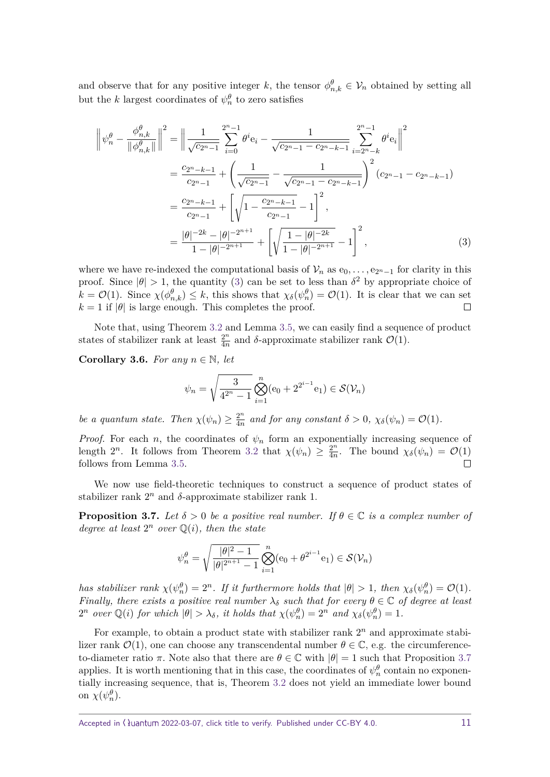and observe that for any positive integer *k*, the tensor  $\phi_{n,k}^{\theta} \in V_n$  obtained by setting all but the *k* largest coordinates of  $\psi_n^{\theta}$  to zero satisfies

$$
\left\|\psi_{n}^{\theta} - \frac{\phi_{n,k}^{\theta}}{\|\phi_{n,k}^{\theta}\|}\right\|^{2} = \left\|\frac{1}{\sqrt{c_{2^{n}-1}}}\sum_{i=0}^{2^{n}-1}\theta^{i}\mathbf{e}_{i} - \frac{1}{\sqrt{c_{2^{n}-1} - c_{2^{n}-k-1}}} \sum_{i=2^{n}-k}^{2^{n}-1}\theta^{i}\mathbf{e}_{i}\right\|^{2}
$$

$$
= \frac{c_{2^{n}-k-1}}{c_{2^{n}-1}} + \left(\frac{1}{\sqrt{c_{2^{n}-1}} - \frac{1}{\sqrt{c_{2^{n}-1} - c_{2^{n}-k-1}}}}\right)^{2} (c_{2^{n}-1} - c_{2^{n}-k-1})
$$

$$
= \frac{c_{2^{n}-k-1}}{c_{2^{n}-1}} + \left[\sqrt{1 - \frac{c_{2^{n}-k-1}}{c_{2^{n}-1}} - 1}\right]^{2},
$$

$$
= \frac{|\theta|^{-2k} - |\theta|^{-2^{n+1}}}{1 - |\theta|^{-2^{n+1}}} + \left[\sqrt{\frac{1 - |\theta|^{-2k}}{1 - |\theta|^{-2^{n+1}}}} - 1\right]^{2}, \qquad (3)
$$

where we have re-indexed the computational basis of  $\mathcal{V}_n$  as  $e_0, \ldots, e_{2^n-1}$  for clarity in this proof. Since  $|\theta| > 1$ , the quantity [\(3\)](#page-10-1) can be set to less than  $\delta^2$  by appropriate choice of  $k = \mathcal{O}(1)$ . Since  $\chi(\phi_{n,k}^{\theta}) \leq k$ , this shows that  $\chi_{\delta}(\psi_n^{\theta}) = \mathcal{O}(1)$ . It is clear that we can set  $k = 1$  if  $|\theta|$  is large enough. This completes the proof.  $\Box$ 

Note that, using Theorem [3.2](#page-6-1) and Lemma [3.5,](#page-9-1) we can easily find a sequence of product states of stabilizer rank at least  $\frac{2^n}{4^n}$  $\frac{2^n}{4n}$  and *δ*-approximate stabilizer rank  $\mathcal{O}(1)$ .

**Corollary 3.6.** *For any*  $n \in \mathbb{N}$ *, let* 

<span id="page-10-1"></span>
$$
\psi_n = \sqrt{\frac{3}{4^{2^n} - 1}} \bigotimes_{i=1}^n (e_0 + 2^{2^{i-1}} e_1) \in \mathcal{S}(\mathcal{V}_n)
$$

*be a quantum state. Then*  $\chi(\psi_n) \geq \frac{2^n}{4n}$  $\frac{2^n}{4n}$  and for any constant  $\delta > 0$ ,  $\chi_{\delta}(\psi_n) = \mathcal{O}(1)$ .

*Proof.* For each *n*, the coordinates of  $\psi_n$  form an exponentially increasing sequence of length  $2^n$ . It follows from Theorem [3.2](#page-6-1) that  $\chi(\psi_n) \geq \frac{2^n}{4n}$  $\frac{2^n}{4n}$ . The bound  $\chi_{\delta}(\psi_n) = \mathcal{O}(1)$ follows from Lemma [3.5.](#page-9-1)  $\Box$ 

We now use field-theoretic techniques to construct a sequence of product states of stabilizer rank  $2^n$  and  $\delta$ -approximate stabilizer rank 1.

<span id="page-10-0"></span>**Proposition 3.7.** *Let*  $\delta > 0$  *be a positive real number. If*  $\theta \in \mathbb{C}$  *is a complex number of degree at least*  $2^n$  *over*  $\mathbb{Q}(i)$ *, then the state* 

$$
\psi_n^{\theta} = \sqrt{\frac{|\theta|^2 - 1}{|\theta|^{2^{n+1}} - 1}} \bigotimes_{i=1}^n (e_0 + \theta^{2^{i-1}} e_1) \in \mathcal{S}(\mathcal{V}_n)
$$

*has stabilizer rank*  $\chi(\psi_n^{\theta}) = 2^n$ *. If it furthermore holds that*  $|\theta| > 1$ *, then*  $\chi_{\delta}(\psi_n^{\theta}) = \mathcal{O}(1)$ *. Finally, there exists a positive real number*  $\lambda_{\delta}$  *such that for every*  $\theta \in \mathbb{C}$  *of degree at least*  $2^n$  *over*  $\mathbb{Q}(i)$  *for which*  $|\theta| > \lambda_{\delta}$ *, it holds that*  $\chi(\psi_n^{\theta}) = 2^n$  *and*  $\chi_{\delta}(\psi_n^{\theta}) = 1$ *.* 

For example, to obtain a product state with stabilizer rank  $2<sup>n</sup>$  and approximate stabilizer rank  $\mathcal{O}(1)$ , one can choose any transcendental number  $\theta \in \mathbb{C}$ , e.g. the circumferenceto-diameter ratio *π*. Note also that there are  $\theta \in \mathbb{C}$  with  $|\theta| = 1$  such that Proposition [3.7](#page-10-0) applies. It is worth mentioning that in this case, the coordinates of  $\psi_n^{\theta}$  contain no exponentially increasing sequence, that is, Theorem [3.2](#page-6-1) does not yield an immediate lower bound on  $\chi(\psi_n^{\theta})$ .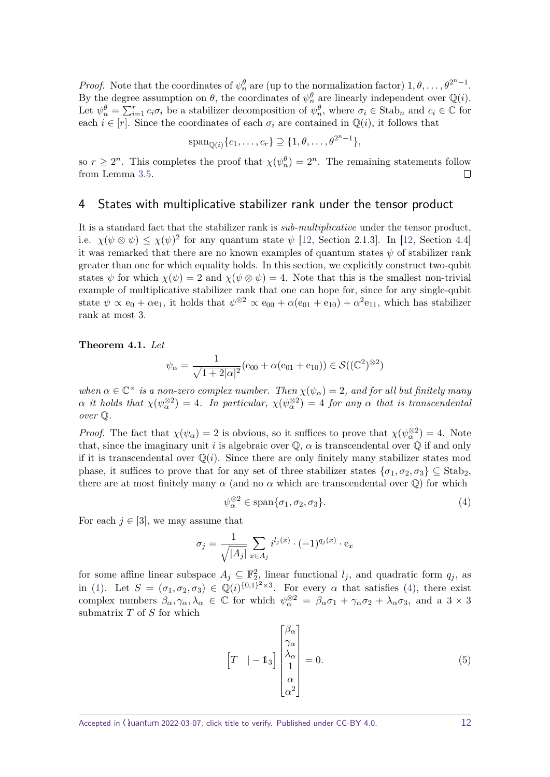*Proof.* Note that the coordinates of  $\psi_n^{\theta}$  are (up to the normalization factor)  $1, \theta, \ldots, \theta^{2^n-1}$ . By the degree assumption on  $\theta$ , the coordinates of  $\psi_n^{\theta}$  are linearly independent over  $\mathbb{Q}(i)$ . Let  $\psi_n^{\theta} = \sum_{i=1}^r c_i \sigma_i$  be a stabilizer decomposition of  $\psi_n^{\theta}$ , where  $\sigma_i \in \text{Stab}_n$  and  $c_i \in \mathbb{C}$  for each  $i \in [r]$ . Since the coordinates of each  $\sigma_i$  are contained in  $\mathbb{Q}(i)$ , it follows that

$$
\mathrm{span}_{\mathbb{Q}(i)}\{c_1,\ldots,c_r\}\supseteq\{1,\theta,\ldots,\theta^{2^n-1}\},\
$$

so  $r \geq 2^n$ . This completes the proof that  $\chi(\psi_n^{\theta}) = 2^n$ . The remaining statements follow from Lemma [3.5.](#page-9-1)  $\Box$ 

## <span id="page-11-0"></span>4 States with multiplicative stabilizer rank under the tensor product

It is a standard fact that the stabilizer rank is *sub-multiplicative* under the tensor product, i.e.  $\chi(\psi \otimes \psi) \leq \chi(\psi)^2$  for any quantum state  $\psi$  [\[12,](#page-16-9) Section 2.1.3]. In [12, Section 4.4] it was remarked that there are no known examples of quantum states  $\psi$  of stabilizer rank greater than one for which equality holds. In this section, we explicitly construct two-qubit states  $\psi$  for which  $\chi(\psi) = 2$  and  $\chi(\psi \otimes \psi) = 4$ . Note that this is the smallest non-trivial example of multiplicative stabilizer rank that one can hope for, since for any single-qubit state  $\psi \propto e_0 + \alpha e_1$ , it holds that  $\psi^{\otimes 2} \propto e_{00} + \alpha (e_{01} + e_{10}) + \alpha^2 e_{11}$ , which has stabilizer rank at most 3.

**Theorem 4.1.** *Let*

$$
\psi_{\alpha} = \frac{1}{\sqrt{1+2|\alpha|^2}} (e_{00} + \alpha(e_{01} + e_{10})) \in \mathcal{S}((\mathbb{C}^2)^{\otimes 2})
$$

*when*  $\alpha \in \mathbb{C}^\times$  *is a non-zero complex number. Then*  $\chi(\psi_\alpha) = 2$ *, and for all but finitely many*  $\alpha$  *it holds that*  $\chi(\psi^{\otimes 2}) = 4$ *. In particular,*  $\chi(\psi^{\otimes 2}) = 4$  *for any*  $\alpha$  *that is transcendental over* Q*.*

*Proof.* The fact that  $\chi(\psi_\alpha) = 2$  is obvious, so it suffices to prove that  $\chi(\psi_\alpha^{\otimes 2}) = 4$ . Note that, since the imaginary unit *i* is algebraic over  $\mathbb{Q}$ ,  $\alpha$  is transcendental over  $\mathbb{Q}$  if and only if it is transcendental over  $\mathbb{Q}(i)$ . Since there are only finitely many stabilizer states mod phase, it suffices to prove that for any set of three stabilizer states  $\{\sigma_1, \sigma_2, \sigma_3\} \subseteq$  Stab. there are at most finitely many  $\alpha$  (and no  $\alpha$  which are transcendental over  $\mathbb{Q}$ ) for which

<span id="page-11-1"></span>
$$
\psi_{\alpha}^{\otimes 2} \in \text{span}\{\sigma_1, \sigma_2, \sigma_3\}.
$$
\n(4)

For each  $j \in [3]$ , we may assume that

$$
\sigma_j = \frac{1}{\sqrt{|A_j|}} \sum_{x \in A_j} i^{l_j(x)} \cdot (-1)^{q_j(x)} \cdot e_x
$$

for some affine linear subspace  $A_j \subseteq \mathbb{F}_2^2$ , linear functional  $l_j$ , and quadratic form  $q_j$ , as in [\(1\)](#page-4-1). Let  $S = (\sigma_1, \sigma_2, \sigma_3) \in \mathbb{Q}(i)^{\{0,1\}^2 \times 3}$ . For every  $\alpha$  that satisfies [\(4\)](#page-11-1), there exist complex numbers  $\beta_{\alpha}, \gamma_{\alpha}, \lambda_{\alpha} \in \mathbb{C}$  for which  $\psi_{\alpha}^{\otimes 2} = \beta_{\alpha}\sigma_1 + \gamma_{\alpha}\sigma_2 + \lambda_{\alpha}\sigma_3$ , and a 3 × 3 submatrix *T* of *S* for which

<span id="page-11-2"></span>
$$
\begin{bmatrix} T & | & -1 \end{bmatrix} \begin{bmatrix} \beta_{\alpha} \\ \gamma_{\alpha} \\ \lambda_{\alpha} \\ 1 \\ \alpha^2 \end{bmatrix} = 0.
$$
 (5)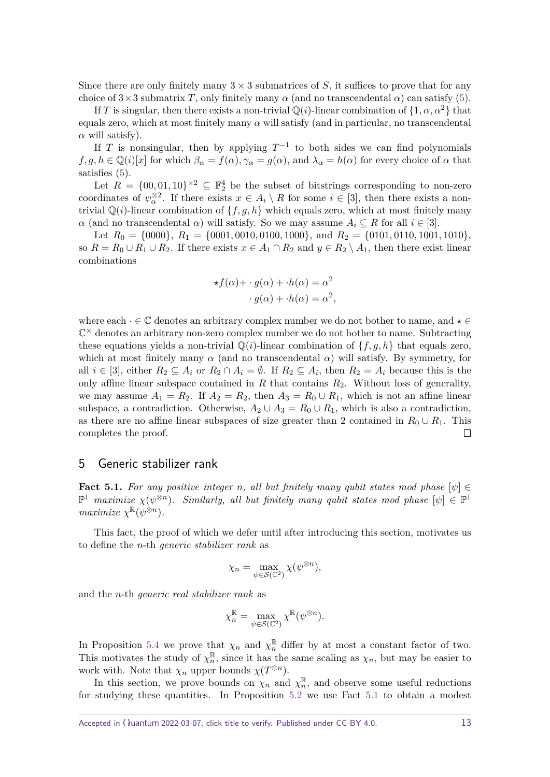Since there are only finitely many  $3 \times 3$  submatrices of *S*, it suffices to prove that for any choice of  $3\times3$  submatrix *T*, only finitely many  $\alpha$  (and no transcendental  $\alpha$ ) can satisfy [\(5\)](#page-11-2).

If *T* is singular, then there exists a non-trivial  $\mathbb{Q}(i)$ -linear combination of  $\{1, \alpha, \alpha^2\}$  that equals zero, which at most finitely many *α* will satisfy (and in particular, no transcendental  $\alpha$  will satisfy).

If *T* is nonsingular, then by applying  $T^{-1}$  to both sides we can find polynomials  $f, g, h \in \mathbb{Q}(i)[x]$  for which  $\beta_{\alpha} = f(\alpha), \gamma_{\alpha} = g(\alpha)$ , and  $\lambda_{\alpha} = h(\alpha)$  for every choice of  $\alpha$  that satisfies [\(5\)](#page-11-2).

Let  $R = \{00, 01, 10\}^{\times 2} \subseteq \mathbb{F}_2^4$  be the subset of bitstrings corresponding to non-zero coordinates of  $\psi^{\otimes 2}_\alpha$ . If there exists  $x \in A_i \setminus R$  for some  $i \in [3]$ , then there exists a nontrivial  $\mathbb{Q}(i)$ -linear combination of  $\{f, g, h\}$  which equals zero, which at most finitely many *α* (and no transcendental *α*) will satisfy. So we may assume  $A_i \subseteq R$  for all  $i \in [3]$ .

Let  $R_0 = \{0000\}, R_1 = \{0001, 0010, 0100, 1000\}, \text{ and } R_2 = \{0101, 0110, 1001, 1010\},$ so  $R = R_0 \cup R_1 \cup R_2$ . If there exists  $x \in A_1 \cap R_2$  and  $y \in R_2 \setminus A_1$ , then there exist linear combinations

$$
\star f(\alpha) + \cdot g(\alpha) + \cdot h(\alpha) = \alpha^2
$$

$$
\cdot g(\alpha) + \cdot h(\alpha) = \alpha^2,
$$

where each  $\cdot \in \mathbb{C}$  denotes an arbitrary complex number we do not bother to name, and  $\star \in$  $\mathbb{C}^{\times}$  denotes an arbitrary non-zero complex number we do not bother to name. Subtracting these equations yields a non-trivial  $\mathbb{Q}(i)$ -linear combination of  $\{f, g, h\}$  that equals zero, which at most finitely many  $\alpha$  (and no transcendental  $\alpha$ ) will satisfy. By symmetry, for all  $i \in [3]$ , either  $R_2 \subseteq A_i$  or  $R_2 \cap A_i = \emptyset$ . If  $R_2 \subseteq A_i$ , then  $R_2 = A_i$  because this is the only affine linear subspace contained in *R* that contains *R*2. Without loss of generality, we may assume  $A_1 = R_2$ . If  $A_2 = R_2$ , then  $A_3 = R_0 \cup R_1$ , which is not an affine linear subspace, a contradiction. Otherwise,  $A_2 \cup A_3 = R_0 \cup R_1$ , which is also a contradiction, as there are no affine linear subspaces of size greater than 2 contained in  $R_0 \cup R_1$ . This completes the proof.  $\Box$ 

## <span id="page-12-0"></span>5 Generic stabilizer rank

<span id="page-12-1"></span>**Fact 5.1.** For any positive integer *n*, all but finitely many qubit states mod phase  $[\psi] \in$  $\mathbb{P}^1$  *maximize*  $\chi(\psi^{\otimes n})$ *. Similarly, all but finitely many qubit states mod phase*  $[\psi] \in \mathbb{P}^1$ *maximize*  $\chi^{\mathbb{R}}(\psi^{\otimes n})$ *.* 

This fact, the proof of which we defer until after introducing this section, motivates us to define the *n*-th generic stabilizer rank as

$$
\chi_n = \max_{\psi \in \mathcal{S}(\mathbb{C}^2)} \chi(\psi^{\otimes n}),
$$

and the *n*-th generic real stabilizer rank as

$$
\chi_n^{\mathbb{R}} = \max_{\psi \in \mathcal{S}(\mathbb{C}^2)} \chi^{\mathbb{R}}(\psi^{\otimes n}).
$$

In Proposition [5.4](#page-14-0) we prove that  $\chi_n$  and  $\chi_n^{\mathbb{R}}$  differ by at most a constant factor of two. This motivates the study of  $\chi_n^{\mathbb{R}}$  $\frac{\mathbb{R}}{n}$ , since it has the same scaling as  $\chi_n$ , but may be easier to work with. Note that  $\chi_n$  upper bounds  $\chi(T^{\otimes n})$ .

In this section, we prove bounds on  $\chi_n$  and  $\chi_n^{\mathbb{R}}$  $\frac{\mathbb{R}}{n}$ , and observe some useful reductions for studying these quantities. In Proposition [5.2](#page-13-0) we use Fact [5.1](#page-12-1) to obtain a modest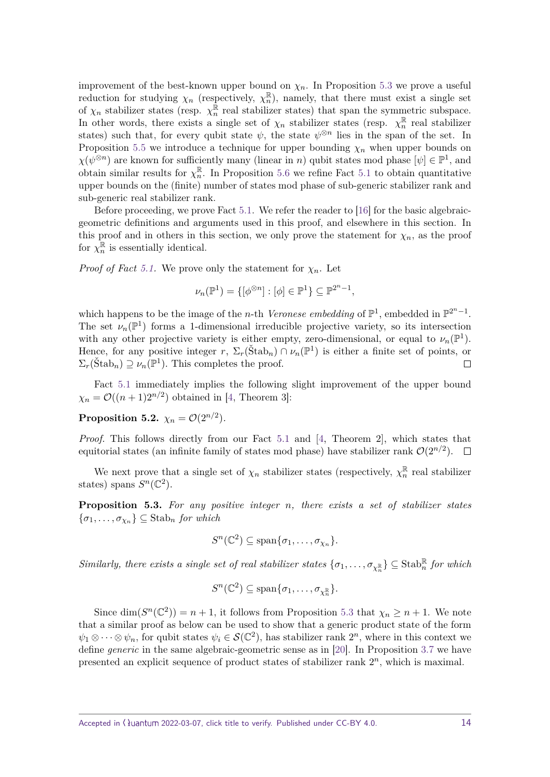improvement of the best-known upper bound on  $\chi_n$ . In Proposition [5.3](#page-13-1) we prove a useful reduction for studying  $\chi_n$  (respectively,  $\chi_n^{\mathbb{R}}$  $\binom{R}{n}$ , namely, that there must exist a single set of  $\chi_n$  stabilizer states (resp.  $\chi_n^{\mathbb{R}}$  $\frac{\pi}{n}$  real stabilizer states) that span the symmetric subspace. In other words, there exists a single set of  $\chi_n$  stabilizer states (resp.  $\chi_n^{\mathbb{R}}$  $\frac{\mathbb{R}}{n}$  real stabilizer states) such that, for every qubit state  $\psi$ , the state  $\psi^{\otimes n}$  lies in the span of the set. In Proposition [5.5](#page-15-2) we introduce a technique for upper bounding  $\chi_n$  when upper bounds on  $\chi(\psi^{\otimes n})$  are known for sufficiently many (linear in *n*) qubit states mod phase  $[\psi] \in \mathbb{P}^1$ , and obtain similar results for  $\chi_n^{\mathbb{R}}$  $\frac{\mathbb{R}}{n}$ . In Proposition [5.6](#page-15-3) we refine Fact [5.1](#page-12-1) to obtain quantitative upper bounds on the (finite) number of states mod phase of sub-generic stabilizer rank and sub-generic real stabilizer rank.

Before proceeding, we prove Fact [5.1.](#page-12-1) We refer the reader to [\[16\]](#page-16-13) for the basic algebraicgeometric definitions and arguments used in this proof, and elsewhere in this section. In this proof and in others in this section, we only prove the statement for  $\chi_n$ , as the proof for  $\chi_n^{\mathbb{R}}$  $\frac{\pi}{n}$  is essentially identical.

*Proof of Fact* [5.1.](#page-12-1) We prove only the statement for  $\chi_n$ . Let

$$
\nu_n(\mathbb{P}^1) = \{ [\phi^{\otimes n}] : [\phi] \in \mathbb{P}^1 \} \subseteq \mathbb{P}^{2^n - 1},
$$

which happens to be the image of the *n*-th *Veronese embedding* of  $\mathbb{P}^1$ , embedded in  $\mathbb{P}^{2^n-1}$ . The set  $\nu_n(\mathbb{P}^1)$  forms a 1-dimensional irreducible projective variety, so its intersection with any other projective variety is either empty, zero-dimensional, or equal to  $\nu_n(\mathbb{P}^1)$ . Hence, for any positive integer  $r$ ,  $\Sigma_r(\text{Štab}_n) \cap \nu_n(\mathbb{P}^1)$  is either a finite set of points, or  $\Sigma_r(\text{Štab}_n) \supseteq \nu_n(\mathbb{P}^1)$ . This completes the proof.  $\Box$ 

Fact [5.1](#page-12-1) immediately implies the following slight improvement of the upper bound  $\chi_n = \mathcal{O}((n+1)2^{n/2})$  obtained in [\[4,](#page-16-1) Theorem 3]:

<span id="page-13-0"></span>**Proposition 5.2.**  $\chi_n = \mathcal{O}(2^{n/2})$ *.* 

*Proof.* This follows directly from our Fact [5.1](#page-12-1) and [\[4,](#page-16-1) Theorem 2], which states that equitorial states (an infinite family of states mod phase) have stabilizer rank  $\mathcal{O}(2^{n/2})$ .

We next prove that a single set of  $\chi_n$  stabilizer states (respectively,  $\chi_n^{\mathbb{R}}$  $\frac{\pi}{n}$  real stabilizer states) spans  $S<sup>n</sup>(\mathbb{C}^2)$ .

<span id="page-13-1"></span>**Proposition 5.3.** *For any positive integer n, there exists a set of stabilizer states*  $\{\sigma_1, \ldots, \sigma_{\chi_n}\} \subseteq$  Stab<sub>*n*</sub> *for which* 

$$
S^{n}(\mathbb{C}^{2}) \subseteq \text{span}\{\sigma_{1},\ldots,\sigma_{\chi_{n}}\}.
$$

 $Similarly,$  there exists a single set of real stabilizer states  $\{\sigma_1, \ldots, \sigma_{\chi_n^{\mathbb{R}}}\}\subseteq \text{Stab}_n^{\mathbb{R}}$  for which

$$
S^{n}(\mathbb{C}^{2}) \subseteq \text{span}\{\sigma_{1},\ldots,\sigma_{\chi_{n}^{\mathbb{R}}}\}.
$$

Since dim( $S<sup>n</sup>(\mathbb{C}^2)$ ) = *n* + 1, it follows from Proposition [5.3](#page-13-1) that  $\chi_n \geq n + 1$ . We note that a similar proof as below can be used to show that a generic product state of the form  $\psi_1 \otimes \cdots \otimes \psi_n$ , for qubit states  $\psi_i \in \mathcal{S}(\mathbb{C}^2)$ , has stabilizer rank  $2^n$ , where in this context we define generic in the same algebraic-geometric sense as in [\[20\]](#page-16-17). In Proposition [3.7](#page-10-0) we have presented an explicit sequence of product states of stabilizer rank  $2^n$ , which is maximal.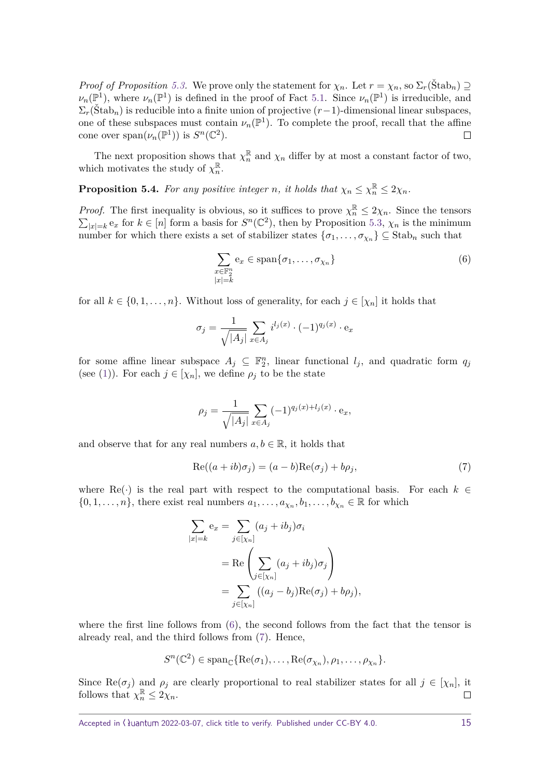*Proof of Proposition* [5.3.](#page-13-1) We prove only the statement for  $\chi_n$ . Let  $r = \chi_n$ , so  $\Sigma_r(\check{Stab}_n) \supseteq$  $\nu_n(\mathbb{P}^1)$ , where  $\nu_n(\mathbb{P}^1)$  is defined in the proof of Fact [5.1.](#page-12-1) Since  $\nu_n(\mathbb{P}^1)$  is irreducible, and  $\Sigma_r(\text{Štab}_n)$  is reducible into a finite union of projective  $(r-1)$ -dimensional linear subspaces, one of these subspaces must contain  $\nu_n(\mathbb{P}^1)$ . To complete the proof, recall that the affine cone over  $\text{span}(\nu_n(\mathbb{P}^1))$  is  $S^n(\mathbb{C}^2)$ .  $\Box$ 

The next proposition shows that  $\chi_n^{\mathbb{R}}$  and  $\chi_n$  differ by at most a constant factor of two, which motivates the study of  $\chi_n^{\mathbb{R}}$ *n* .

<span id="page-14-0"></span>**Proposition 5.4.** For any positive integer *n*, it holds that  $\chi_n \leq \chi_n^{\mathbb{R}} \leq 2\chi_n$ .

*Proof.* The first inequality is obvious, so it suffices to prove  $\chi_n^{\mathbb{R}} \leq 2\chi_n$ . Since the tensors  $\sum_{|x|=k} e_x$  for  $k \in [n]$  form a basis for  $S^n(\mathbb{C}^2)$ , then by Proposition [5.3,](#page-13-1)  $\chi_n$  is the minimum number for which there exists a set of stabilizer states  $\{\sigma_1, \ldots, \sigma_{\chi_n}\} \subseteq \text{Stab}_n$  such that

<span id="page-14-1"></span>
$$
\sum_{\substack{x \in \mathbb{F}_2^n \\ |x|=k}} \mathbf{e}_x \in \text{span}\{\sigma_1, \dots, \sigma_{\chi_n}\}\tag{6}
$$

for all  $k \in \{0, 1, \ldots, n\}$ . Without loss of generality, for each  $j \in [\chi_n]$  it holds that

$$
\sigma_j = \frac{1}{\sqrt{|A_j|}} \sum_{x \in A_j} i^{l_j(x)} \cdot (-1)^{q_j(x)} \cdot e_x
$$

for some affine linear subspace  $A_j \subseteq \mathbb{F}_2^n$ , linear functional  $l_j$ , and quadratic form  $q_j$ (see [\(1\)](#page-4-1)). For each  $j \in [\chi_n]$ , we define  $\rho_j$  to be the state

<span id="page-14-2"></span>
$$
\rho_j = \frac{1}{\sqrt{|A_j|}} \sum_{x \in A_j} (-1)^{q_j(x) + l_j(x)} \cdot e_x,
$$

and observe that for any real numbers  $a, b \in \mathbb{R}$ , it holds that

$$
Re((a+ib)\sigma_j) = (a-b)Re(\sigma_j) + b\rho_j,
$$
\n(7)

where Re( $\cdot$ ) is the real part with respect to the computational basis. For each  $k \in$  $\{0, 1, \ldots, n\}$ , there exist real numbers  $a_1, \ldots, a_{\chi_n}, b_1, \ldots, b_{\chi_n} \in \mathbb{R}$  for which

$$
\sum_{|x|=k} e_x = \sum_{j \in [\chi_n]} (a_j + ib_j)\sigma_i
$$
  
= Re  $\left( \sum_{j \in [\chi_n]} (a_j + ib_j)\sigma_j \right)$   
=  $\sum_{j \in [\chi_n]} ((a_j - b_j)Re(\sigma_j) + b\rho_j),$ 

where the first line follows from  $(6)$ , the second follows from the fact that the tensor is already real, and the third follows from [\(7\)](#page-14-2). Hence,

$$
S^{n}(\mathbb{C}^{2}) \in \mathrm{span}_{\mathbb{C}} \{ \mathrm{Re}(\sigma_{1}), \ldots, \mathrm{Re}(\sigma_{\chi_{n}}), \rho_{1}, \ldots, \rho_{\chi_{n}} \}.
$$

Since Re( $\sigma_j$ ) and  $\rho_j$  are clearly proportional to real stabilizer states for all  $j \in [\chi_n]$ , it follows that  $\chi_n^{\mathbb{R}} \leq 2\chi_n$ .  $\Box$ 

Accepted in  $\lambda$ uantum 2022-03-07, click title to verify. Published under CC-BY 4.0. 15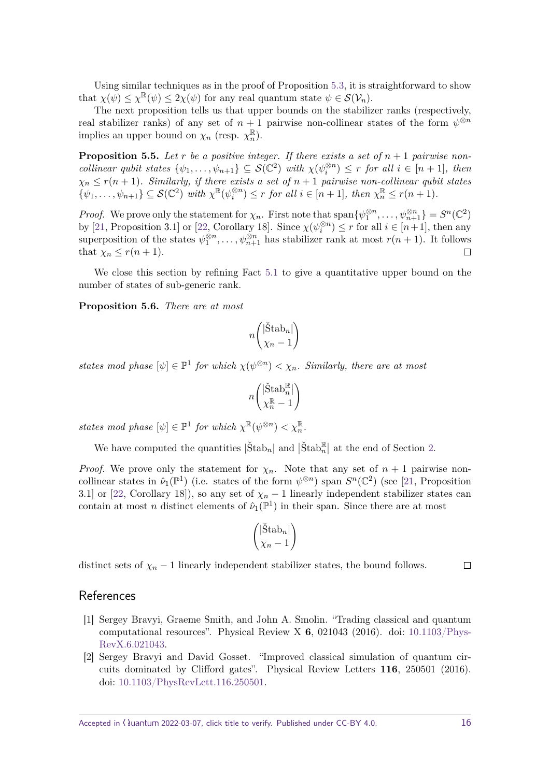Using similar techniques as in the proof of Proposition [5.3,](#page-13-1) it is straightforward to show that  $\chi(\psi) \leq \chi^{\mathbb{R}}(\psi) \leq 2\chi(\psi)$  for any real quantum state  $\psi \in \mathcal{S}(\mathcal{V}_n)$ .

The next proposition tells us that upper bounds on the stabilizer ranks (respectively, real stabilizer ranks) of any set of  $n + 1$  pairwise non-collinear states of the form  $\psi^{\otimes n}$ implies an upper bound on  $\chi_n$  (resp.  $\chi_n^{\mathbb{R}}$  $\frac{\mathbb{R}}{n}$ .

<span id="page-15-2"></span>**Proposition 5.5.** Let *r* be a positive integer. If there exists a set of  $n + 1$  pairwise non*collinear qubit states*  $\{\psi_1, \ldots, \psi_{n+1}\} \subseteq S(\mathbb{C}^2)$  *with*  $\chi(\psi_i^{\otimes n}) \leq r$  *for all*  $i \in [n+1]$ *, then*  $\chi_n \leq r(n+1)$ *. Similarly, if there exists a set of*  $n+1$  *pairwise non-collinear qubit states*  $\{ \psi_1, \ldots, \psi_{n+1} \} \subseteq \mathcal{S}(\mathbb{C}^2)$  with  $\chi^{\mathbb{R}}(\psi_i^{\otimes n}) \leq r$  for all  $i \in [n+1]$ , then  $\chi_n^{\mathbb{R}} \leq r(n+1)$ .

*Proof.* We prove only the statement for  $\chi_n$ . First note that  $\text{span}\{\psi_1^{\otimes n},\ldots,\psi_{n+1}^{\otimes n}\}=S^n(\mathbb{C}^2)$ by [\[21,](#page-16-18) Proposition 3.1] or [\[22,](#page-17-1) Corollary 18]. Since  $\chi(\psi_i^{\otimes n}) \leq r$  for all  $i \in [n+1]$ , then any superposition of the states  $\psi_1^{\otimes n}, \ldots, \psi_{n+1}^{\otimes n}$  has stabilizer rank at most  $r(n+1)$ . It follows that  $\chi_n \leq r(n+1)$ .  $\Box$ 

We close this section by refining Fact [5.1](#page-12-1) to give a quantitative upper bound on the number of states of sub-generic rank.

<span id="page-15-3"></span>**Proposition 5.6.** *There are at most*

$$
n\begin{pmatrix} |\check{\text{Stab}}_n| \\ \chi_n - 1 \end{pmatrix}
$$

*states mod phase*  $[\psi] \in \mathbb{P}^1$  *for which*  $\chi(\psi^{\otimes n}) < \chi_n$ *. Similarly, there are at most* 

$$
n \binom{\big| \check{\mathrm{Stab}}_n^\mathbb{R} \big|}{\chi_n^\mathbb{R} - 1}
$$

*states mod phase*  $[\psi] \in \mathbb{P}^1$  *for which*  $\chi^{\mathbb{R}}(\psi^{\otimes n}) < \chi_n^{\mathbb{R}}$ .

We have computed the quantities  $|\check{S} \text{tab}_n|$  and  $|\check{S} \text{tab}_n^{\mathbb{R}}|$  at the end of Section [2.](#page-4-0)

*Proof.* We prove only the statement for  $\chi_n$ . Note that any set of  $n+1$  pairwise noncollinear states in  $\hat{\nu}_1(\mathbb{P}^1)$  (i.e. states of the form  $\psi^{\otimes n}$ ) span  $S^n(\mathbb{C}^2)$  (see [\[21,](#page-16-18) Proposition 3.1] or [\[22,](#page-17-1) Corollary 18]), so any set of  $\chi_n - 1$  linearly independent stabilizer states can contain at most *n* distinct elements of  $\hat{\nu}_1(\mathbb{P}^1)$  in their span. Since there are at most

$$
\begin{pmatrix} |\check{\mathrm{Stab}}_n| \\ \chi_n - 1 \end{pmatrix}
$$

distinct sets of  $\chi_n - 1$  linearly independent stabilizer states, the bound follows.

## References

- <span id="page-15-0"></span>[1] Sergey Bravyi, Graeme Smith, and John A. Smolin. "Trading classical and quantum computational resources". Physical Review X **6**, 021043 (2016). doi: [10.1103/Phys-](https://dx.doi.org/10.1103/PhysRevX.6.021043)[RevX.6.021043.](https://dx.doi.org/10.1103/PhysRevX.6.021043)
- <span id="page-15-1"></span>[2] Sergey Bravyi and David Gosset. "Improved classical simulation of quantum circuits dominated by Clifford gates". Physical Review Letters **116**, 250501 (2016). doi: [10.1103/PhysRevLett.116.250501.](https://dx.doi.org/10.1103/PhysRevLett.116.250501)

 $\Box$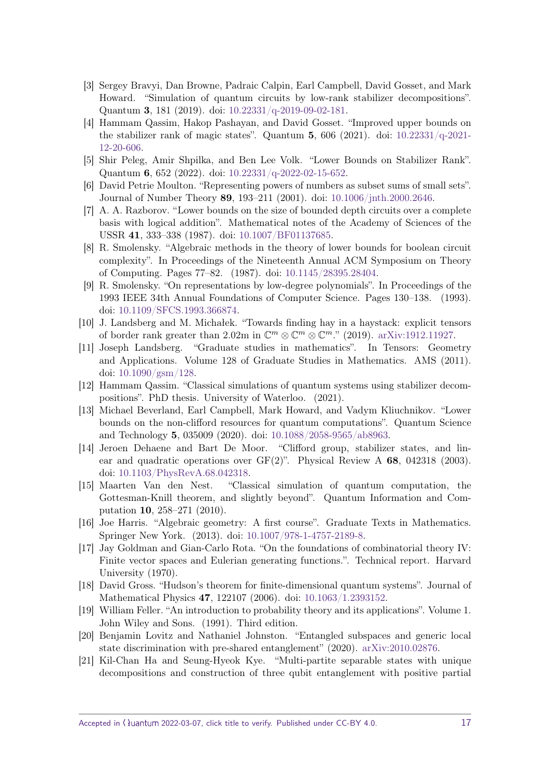- <span id="page-16-0"></span>[3] Sergey Bravyi, Dan Browne, Padraic Calpin, Earl Campbell, David Gosset, and Mark Howard. "Simulation of quantum circuits by low-rank stabilizer decompositions". Quantum **3**, 181 (2019). doi: [10.22331/q-2019-09-02-181.](https://dx.doi.org/10.22331/q-2019-09-02-181)
- <span id="page-16-1"></span>[4] Hammam Qassim, Hakop Pashayan, and David Gosset. "Improved upper bounds on the stabilizer rank of magic states". Quantum **5**, 606 (2021). doi: [10.22331/q-2021-](https://dx.doi.org/10.22331/q-2021-12-20-606) [12-20-606.](https://dx.doi.org/10.22331/q-2021-12-20-606)
- <span id="page-16-2"></span>[5] Shir Peleg, Amir Shpilka, and Ben Lee Volk. "Lower Bounds on Stabilizer Rank". Quantum **6**, 652 (2022). doi: [10.22331/q-2022-02-15-652.](https://dx.doi.org/10.22331/q-2022-02-15-652)
- <span id="page-16-3"></span>[6] David Petrie Moulton. "Representing powers of numbers as subset sums of small sets". Journal of Number Theory **89**, 193–211 (2001). doi: [10.1006/jnth.2000.2646.](https://dx.doi.org/10.1006/jnth.2000.2646)
- <span id="page-16-4"></span>[7] A. A. Razborov. "Lower bounds on the size of bounded depth circuits over a complete basis with logical addition". Mathematical notes of the Academy of Sciences of the USSR **41**, 333–338 (1987). doi: [10.1007/BF01137685.](https://dx.doi.org/10.1007/BF01137685)
- <span id="page-16-5"></span>[8] R. Smolensky. "Algebraic methods in the theory of lower bounds for boolean circuit complexity". In Proceedings of the Nineteenth Annual ACM Symposium on Theory of Computing. Pages 77–82. (1987). doi: [10.1145/28395.28404.](https://dx.doi.org/10.1145/28395.28404)
- <span id="page-16-6"></span>[9] R. Smolensky. "On representations by low-degree polynomials". In Proceedings of the 1993 IEEE 34th Annual Foundations of Computer Science. Pages 130–138. (1993). doi: [10.1109/SFCS.1993.366874.](https://dx.doi.org/10.1109/SFCS.1993.366874)
- <span id="page-16-7"></span>[10] J. Landsberg and M. Michałek. "Towards finding hay in a haystack: explicit tensors of border rank greater than 2.02m in  $\mathbb{C}^m \otimes \mathbb{C}^m \otimes \mathbb{C}^m$ ." (2019). [arXiv:1912.11927.](http://arxiv.org/abs/1912.11927)
- <span id="page-16-8"></span>[11] Joseph Landsberg. "Graduate studies in mathematics". In Tensors: Geometry and Applications. Volume 128 of Graduate Studies in Mathematics. AMS (2011). doi: [10.1090/gsm/128.](https://dx.doi.org/10.1090/gsm/128)
- <span id="page-16-9"></span>[12] Hammam Qassim. "Classical simulations of quantum systems using stabilizer decompositions". PhD thesis. University of Waterloo. (2021).
- <span id="page-16-10"></span>[13] Michael Beverland, Earl Campbell, Mark Howard, and Vadym Kliuchnikov. "Lower bounds on the non-clifford resources for quantum computations". Quantum Science and Technology **5**, 035009 (2020). doi: [10.1088/2058-9565/ab8963.](https://dx.doi.org/10.1088/2058-9565/ab8963)
- <span id="page-16-11"></span>[14] Jeroen Dehaene and Bart De Moor. "Clifford group, stabilizer states, and linear and quadratic operations over GF(2)". Physical Review A **68**, 042318 (2003). doi: [10.1103/PhysRevA.68.042318.](https://dx.doi.org/10.1103/PhysRevA.68.042318)
- <span id="page-16-12"></span>[15] Maarten Van den Nest. "Classical simulation of quantum computation, the Gottesman-Knill theorem, and slightly beyond". Quantum Information and Computation **10**, 258–271 (2010).
- <span id="page-16-13"></span>[16] Joe Harris. "Algebraic geometry: A first course". Graduate Texts in Mathematics. Springer New York. (2013). doi: [10.1007/978-1-4757-2189-8.](https://dx.doi.org/10.1007/978-1-4757-2189-8)
- <span id="page-16-14"></span>[17] Jay Goldman and Gian-Carlo Rota. "On the foundations of combinatorial theory IV: Finite vector spaces and Eulerian generating functions.". Technical report. Harvard University (1970).
- <span id="page-16-15"></span>[18] David Gross. "Hudson's theorem for finite-dimensional quantum systems". Journal of Mathematical Physics **47**, 122107 (2006). doi: [10.1063/1.2393152.](https://dx.doi.org/10.1063/1.2393152)
- <span id="page-16-16"></span>[19] William Feller. "An introduction to probability theory and its applications". Volume 1. John Wiley and Sons. (1991). Third edition.
- <span id="page-16-17"></span>[20] Benjamin Lovitz and Nathaniel Johnston. "Entangled subspaces and generic local state discrimination with pre-shared entanglement" (2020). [arXiv:2010.02876.](http://arxiv.org/abs/2010.02876)
- <span id="page-16-18"></span>[21] Kil-Chan Ha and Seung-Hyeok Kye. "Multi-partite separable states with unique decompositions and construction of three qubit entanglement with positive partial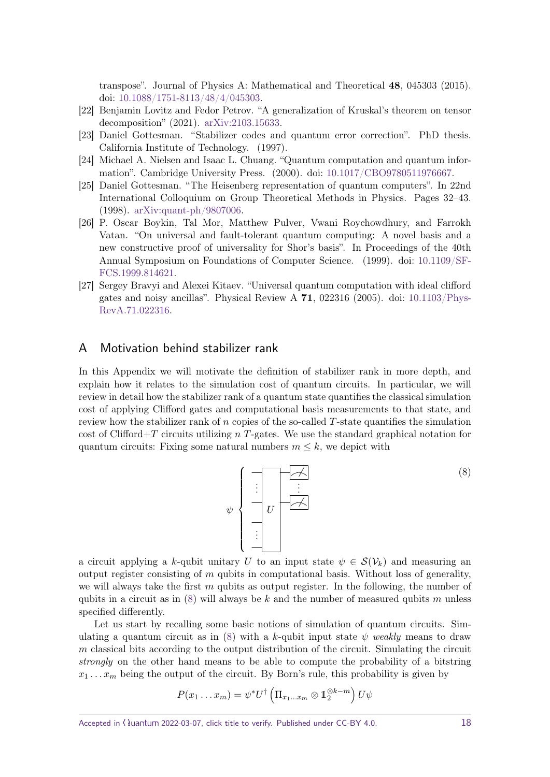transpose". Journal of Physics A: Mathematical and Theoretical **48**, 045303 (2015). doi: [10.1088/1751-8113/48/4/045303.](https://dx.doi.org/10.1088/1751-8113/48/4/045303)

- <span id="page-17-1"></span>[22] Benjamin Lovitz and Fedor Petrov. "A generalization of Kruskal's theorem on tensor decomposition" (2021). [arXiv:2103.15633.](http://arxiv.org/abs/2103.15633)
- <span id="page-17-3"></span>[23] Daniel Gottesman. "Stabilizer codes and quantum error correction". PhD thesis. California Institute of Technology. (1997).
- <span id="page-17-4"></span>[24] Michael A. Nielsen and Isaac L. Chuang. "Quantum computation and quantum information". Cambridge University Press. (2000). doi: [10.1017/CBO9780511976667.](https://dx.doi.org/10.1017/CBO9780511976667)
- <span id="page-17-5"></span>[25] Daniel Gottesman. "The Heisenberg representation of quantum computers". In 22nd International Colloquium on Group Theoretical Methods in Physics. Pages 32–43. (1998). [arXiv:quant-ph/9807006.](http://arxiv.org/abs/quant-ph/9807006)
- <span id="page-17-6"></span>[26] P. Oscar Boykin, Tal Mor, Matthew Pulver, Vwani Roychowdhury, and Farrokh Vatan. "On universal and fault-tolerant quantum computing: A novel basis and a new constructive proof of universality for Shor's basis". In Proceedings of the 40th Annual Symposium on Foundations of Computer Science. (1999). doi: [10.1109/SF-](https://dx.doi.org/10.1109/SFFCS.1999.814621)[FCS.1999.814621.](https://dx.doi.org/10.1109/SFFCS.1999.814621)
- <span id="page-17-7"></span>[27] Sergey Bravyi and Alexei Kitaev. "Universal quantum computation with ideal clifford gates and noisy ancillas". Physical Review A **71**, 022316 (2005). doi: [10.1103/Phys-](https://dx.doi.org/10.1103/PhysRevA.71.022316)[RevA.71.022316.](https://dx.doi.org/10.1103/PhysRevA.71.022316)

## <span id="page-17-0"></span>A Motivation behind stabilizer rank

In this Appendix we will motivate the definition of stabilizer rank in more depth, and explain how it relates to the simulation cost of quantum circuits. In particular, we will review in detail how the stabilizer rank of a quantum state quantifies the classical simulation cost of applying Clifford gates and computational basis measurements to that state, and review how the stabilizer rank of *n* copies of the so-called *T*-state quantifies the simulation cost of Clifford+*T* circuits utilizing *n T*-gates. We use the standard graphical notation for quantum circuits: Fixing some natural numbers  $m \leq k$ , we depict with

<span id="page-17-2"></span>*U* . . . . . . . . . *ψ* (8)

a circuit applying a *k*-qubit unitary *U* to an input state  $\psi \in \mathcal{S}(\mathcal{V}_k)$  and measuring an output register consisting of *m* qubits in computational basis. Without loss of generality, we will always take the first *m* qubits as output register. In the following, the number of qubits in a circuit as in [\(8\)](#page-17-2) will always be *k* and the number of measured qubits *m* unless specified differently.

Let us start by recalling some basic notions of simulation of quantum circuits. Sim-ulating a quantum circuit as in [\(8\)](#page-17-2) with a *k*-qubit input state  $\psi$  weakly means to draw *m* classical bits according to the output distribution of the circuit. Simulating the circuit strongly on the other hand means to be able to compute the probability of a bitstring  $x_1 \ldots x_m$  being the output of the circuit. By Born's rule, this probability is given by

$$
P(x_1 \ldots x_m) = \psi^* U^{\dagger} \left( \Pi_{x_1 \ldots x_m} \otimes \mathbb{1}_2^{\otimes k-m} \right) U \psi
$$

Accepted in  $\lambda$ uantum 2022-03-07, click title to verify. Published under CC-BY 4.0. 18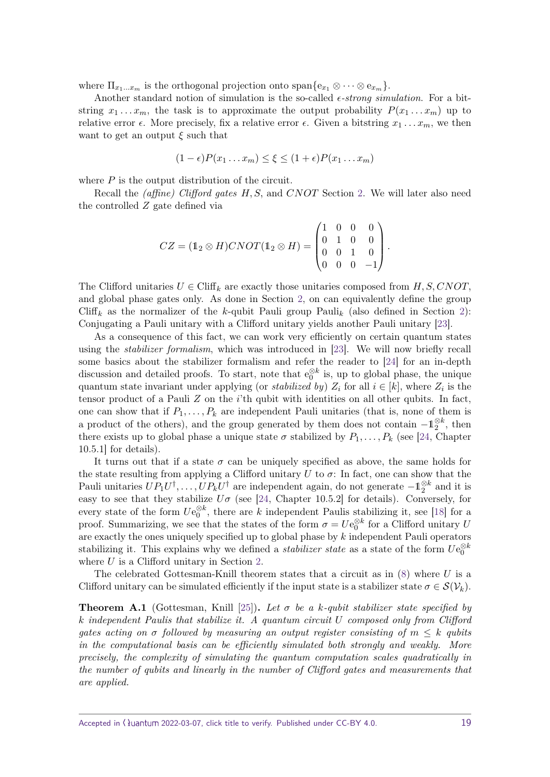where  $\Pi_{x_1...x_m}$  is the orthogonal projection onto span $\{e_{x_1} \otimes \cdots \otimes e_{x_m}\}.$ 

Another standard notion of simulation is the so-called  $\epsilon\text{-}strong simulation$ . For a bitstring  $x_1 \ldots x_m$ , the task is to approximate the output probability  $P(x_1 \ldots x_m)$  up to relative error  $\epsilon$ . More precisely, fix a relative error  $\epsilon$ . Given a bitstring  $x_1 \ldots x_m$ , we then want to get an output  $\xi$  such that

$$
(1 - \epsilon)P(x_1 \ldots x_m) \le \xi \le (1 + \epsilon)P(x_1 \ldots x_m)
$$

where *P* is the output distribution of the circuit.

Recall the (affine) Clifford gates *H, S,* and *CNOT* Section [2.](#page-4-0) We will later also need the controlled *Z* gate defined via

$$
CZ = (\mathbb{1}_2 \otimes H) CNOT (\mathbb{1}_2 \otimes H) = \begin{pmatrix} 1 & 0 & 0 & 0 \\ 0 & 1 & 0 & 0 \\ 0 & 0 & 1 & 0 \\ 0 & 0 & 0 & -1 \end{pmatrix}.
$$

The Clifford unitaries  $U \in \text{Cliff}_k$  are exactly those unitaries composed from  $H, S, CNOT$ , and global phase gates only. As done in Section [2,](#page-4-0) on can equivalently define the group Cliff<sub>k</sub> as the normalizer of the *k*-qubit Pauli group Pauli<sub>k</sub> (also defined in Section [2\)](#page-4-0): Conjugating a Pauli unitary with a Clifford unitary yields another Pauli unitary [\[23\]](#page-17-3).

As a consequence of this fact, we can work very efficiently on certain quantum states using the *stabilizer formalism*, which was introduced in [\[23\]](#page-17-3). We will now briefly recall some basics about the stabilizer formalism and refer the reader to [\[24\]](#page-17-4) for an in-depth discussion and detailed proofs. To start, note that  $e_0^{\otimes k}$  is, up to global phase, the unique quantum state invariant under applying (or *stabilized by)*  $Z_i$  for all  $i \in [k]$ , where  $Z_i$  is the tensor product of a Pauli *Z* on the *i*'th qubit with identities on all other qubits. In fact, one can show that if  $P_1, \ldots, P_k$  are independent Pauli unitaries (that is, none of them is a product of the others), and the group generated by them does not contain  $-\mathbb{1}_2^{\otimes k}$ , then there exists up to global phase a unique state  $\sigma$  stabilized by  $P_1, \ldots, P_k$  (see [\[24,](#page-17-4) Chapter 10.5.1] for details).

It turns out that if a state  $\sigma$  can be uniquely specified as above, the same holds for the state resulting from applying a Clifford unitary  $U$  to  $\sigma$ : In fact, one can show that the Pauli unitaries  $UP_1U^{\dagger}, \ldots, UP_kU^{\dagger}$  are independent again, do not generate  $-1\frac{\otimes k}{2}$  and it is easy to see that they stabilize  $U\sigma$  (see [\[24,](#page-17-4) Chapter 10.5.2] for details). Conversely, for every state of the form  $Ue_0^{\otimes k}$ , there are *k* independent Paulis stabilizing it, see [\[18\]](#page-16-15) for a proof. Summarizing, we see that the states of the form  $\sigma = U e_0^{\otimes k}$  for a Clifford unitary *U* are exactly the ones uniquely specified up to global phase by *k* independent Pauli operators stabilizing it. This explains why we defined a *stabilizer state* as a state of the form  $Ue_0^{\otimes k}$ where *U* is a Clifford unitary in Section [2.](#page-4-0)

The celebrated Gottesman-Knill theorem states that a circuit as in [\(8\)](#page-17-2) where *U* is a Clifford unitary can be simulated efficiently if the input state is a stabilizer state  $\sigma \in \mathcal{S}(\mathcal{V}_k)$ .

<span id="page-18-0"></span>**Theorem A.1** (Gottesman, Knill [\[25\]](#page-17-5))**.** *Let σ be a k-qubit stabilizer state specified by k independent Paulis that stabilize it. A quantum circuit U composed only from Clifford gates acting on*  $\sigma$  *followed by measuring an output register consisting of*  $m \leq k$  *qubits in the computational basis can be efficiently simulated both strongly and weakly. More precisely, the complexity of simulating the quantum computation scales quadratically in the number of qubits and linearly in the number of Clifford gates and measurements that are applied.*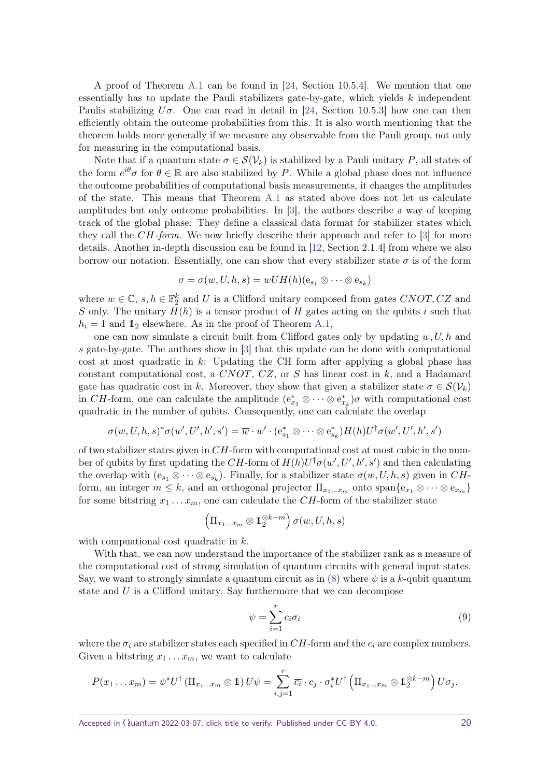A proof of Theorem [A.1](#page-18-0) can be found in [\[24,](#page-17-4) Section 10.5.4]. We mention that one essentially has to update the Pauli stabilizers gate-by-gate, which yields *k* independent Paulis stabilizing  $U\sigma$ . One can read in detail in [\[24,](#page-17-4) Section 10.5.3] how one can then efficiently obtain the outcome probabilities from this. It is also worth mentioning that the theorem holds more generally if we measure any observable from the Pauli group, not only for measuring in the computational basis.

Note that if a quantum state  $\sigma \in \mathcal{S}(\mathcal{V}_k)$  is stabilized by a Pauli unitary P, all states of the form  $e^{i\theta}\sigma$  for  $\theta \in \mathbb{R}$  are also stabilized by *P*. While a global phase does not influence the outcome probabilities of computational basis measurements, it changes the amplitudes of the state. This means that Theorem [A.1](#page-18-0) as stated above does not let us calculate amplitudes but only outcome probabilities. In [\[3\]](#page-16-0), the authors describe a way of keeping track of the global phase: They define a classical data format for stabilizer states which they call the *CH*-form. We now briefly describe their approach and refer to [\[3\]](#page-16-0) for more details. Another in-depth discussion can be found in [\[12,](#page-16-9) Section 2.1.4] from where we also borrow our notation. Essentially, one can show that every stabilizer state  $\sigma$  is of the form

$$
\sigma = \sigma(w, U, h, s) = wUH(h)(e_{s_1} \otimes \cdots \otimes e_{s_k})
$$

where  $w \in \mathbb{C}$ ,  $s, h \in \mathbb{F}_2^k$  and *U* is a Clifford unitary composed from gates *CNOT*, *CZ* and *S* only. The unitary  $H(h)$  is a tensor product of *H* gates acting on the qubits *i* such that  $h_i = 1$  and  $\mathbb{1}_2$  elsewhere. As in the proof of Theorem [A.1,](#page-18-0)

one can now simulate a circuit built from Clifford gates only by updating *w, U, h* and *s* gate-by-gate. The authors show in [\[3\]](#page-16-0) that this update can be done with computational cost at most quadratic in *k*: Updating the CH form after applying a global phase has constant computational cost, a *CNOT*, *CZ*, or *S* has linear cost in *k*, and a Hadamard gate has quadratic cost in *k*. Moreover, they show that given a stabilizer state  $\sigma \in \mathcal{S}(\mathcal{V}_k)$ in *CH*-form, one can calculate the amplitude  $(e_{x_1}^* \otimes \cdots \otimes e_{x_k}^*)\sigma$  with computational cost quadratic in the number of qubits. Consequently, one can calculate the overlap

$$
\sigma(w,U,h,s)^{*}\sigma(w',U',h',s') = \overline{w} \cdot w' \cdot (e^{*}_{s_{1}} \otimes \cdots \otimes e^{*}_{s_{k}})H(h)U^{\dagger}\sigma(w',U',h',s')
$$

of two stabilizer states given in *CH*-form with computational cost at most cubic in the number of qubits by first updating the *CH*-form of  $H(h)U^{\dagger} \sigma(w', U', h', s')$  and then calculating the overlap with  $(e_{s_1} \otimes \cdots \otimes e_{s_k})$ . Finally, for a stabilizer state  $\sigma(w, U, h, s)$  given in *CH*form, an integer  $m \leq k$ , and an orthogonal projector  $\Pi_{x_1...x_m}$  onto  $\text{span}\{e_{x_1} \otimes \cdots \otimes e_{x_m}\}$ for some bitstring  $x_1 \ldots x_m$ , one can calculate the *CH*-form of the stabilizer state

$$
\left(\Pi_{x_1...x_m}\otimes \mathbb{1}_2^{\otimes k-m}\right)\sigma(w,U,h,s)
$$

with compuational cost quadratic in *k*.

With that, we can now understand the importance of the stabilizer rank as a measure of the computational cost of strong simulation of quantum circuits with general input states. Say, we want to strongly simulate a quantum circuit as in  $(8)$  where  $\psi$  is a *k*-qubit quantum state and *U* is a Clifford unitary. Say furthermore that we can decompose

<span id="page-19-0"></span>
$$
\psi = \sum_{i=1}^{r} c_i \sigma_i \tag{9}
$$

where the  $\sigma_i$  are stabilizer states each specified in  $CH$ -form and the  $c_i$  are complex numbers. Given a bitstring  $x_1 \ldots x_m$ , we want to calculate

$$
P(x_1 \ldots x_m) = \psi^* U^{\dagger} (\Pi_{x_1 \ldots x_m} \otimes 1) U \psi = \sum_{i,j=1}^r \overline{c_i} \cdot c_j \cdot \sigma_i^* U^{\dagger} (\Pi_{x_1 \ldots x_m} \otimes 1_2^{\otimes k-m}) U \sigma_j.
$$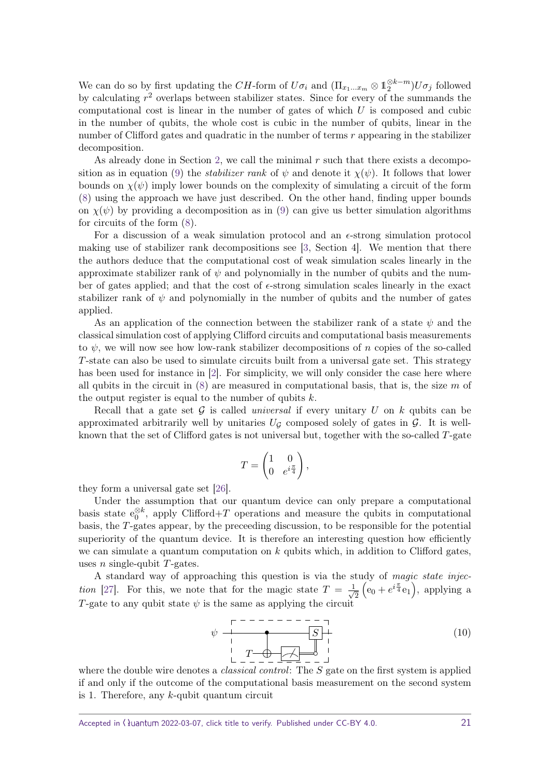We can do so by first updating the *CH*-form of  $U\sigma_i$  and  $(\Pi_{x_1...x_m} \otimes \mathbb{1}_2^{\otimes k-m})U\sigma_j$  followed by calculating *r* <sup>2</sup> overlaps between stabilizer states. Since for every of the summands the computational cost is linear in the number of gates of which *U* is composed and cubic in the number of qubits, the whole cost is cubic in the number of qubits, linear in the number of Clifford gates and quadratic in the number of terms *r* appearing in the stabilizer decomposition.

As already done in Section [2,](#page-4-0) we call the minimal *r* such that there exists a decompo-sition as in equation [\(9\)](#page-19-0) the *stabilizer rank* of  $\psi$  and denote it  $\chi(\psi)$ . It follows that lower bounds on  $\chi(\psi)$  imply lower bounds on the complexity of simulating a circuit of the form [\(8\)](#page-17-2) using the approach we have just described. On the other hand, finding upper bounds on  $\chi(\psi)$  by providing a decomposition as in [\(9\)](#page-19-0) can give us better simulation algorithms for circuits of the form [\(8\)](#page-17-2).

For a discussion of a weak simulation protocol and an  $\epsilon$ -strong simulation protocol making use of stabilizer rank decompositions see [\[3,](#page-16-0) Section 4]. We mention that there the authors deduce that the computational cost of weak simulation scales linearly in the approximate stabilizer rank of  $\psi$  and polynomially in the number of qubits and the number of gates applied; and that the cost of  $\epsilon$ -strong simulation scales linearly in the exact stabilizer rank of  $\psi$  and polynomially in the number of qubits and the number of gates applied.

As an application of the connection between the stabilizer rank of a state *ψ* and the classical simulation cost of applying Clifford circuits and computational basis measurements to  $\psi$ , we will now see how low-rank stabilizer decompositions of *n* copies of the so-called *T*-state can also be used to simulate circuits built from a universal gate set. This strategy has been used for instance in [\[2\]](#page-15-1). For simplicity, we will only consider the case here where all qubits in the circuit in [\(8\)](#page-17-2) are measured in computational basis, that is, the size *m* of the output register is equal to the number of qubits *k*.

Recall that a gate set  $G$  is called *universal* if every unitary  $U$  on  $k$  qubits can be approximated arbitrarily well by unitaries  $U_G$  composed solely of gates in  $\mathcal G$ . It is wellknown that the set of Clifford gates is not universal but, together with the so-called *T*-gate

$$
T = \begin{pmatrix} 1 & 0 \\ 0 & e^{i\frac{\pi}{4}} \end{pmatrix},
$$

they form a universal gate set [\[26\]](#page-17-6).

Under the assumption that our quantum device can only prepare a computational basis state  $e_0^{\otimes k}$ , apply Clifford+*T* operations and measure the qubits in computational basis, the *T*-gates appear, by the preceeding discussion, to be responsible for the potential superiority of the quantum device. It is therefore an interesting question how efficiently we can simulate a quantum computation on *k* qubits which, in addition to Clifford gates, uses *n* single-qubit *T*-gates.

A standard way of approaching this question is via the study of magic state injec-tion [\[27\]](#page-17-7). For this, we note that for the magic state  $T = \frac{1}{4}$  $\overline{c}$  $(e_0 + e^{i\frac{\pi}{4}}e_1),$  applying a *T*-gate to any qubit state  $\psi$  is the same as applying the circuit

<span id="page-20-0"></span>
$$
\psi \begin{array}{c}\n \begin{array}{c}\n \uparrow \\
\downarrow \\
\downarrow \\
\downarrow \\
\downarrow \\
\end{array}\n \end{array}\n \qquad\n \begin{array}{c}\n \hline\n S \\
\hline\n S \\
\downarrow \\
\end{array}\n \end{array}\n \qquad (10)
$$

where the double wire denotes a classical control: The *S* gate on the first system is applied if and only if the outcome of the computational basis measurement on the second system is 1. Therefore, any *k*-qubit quantum circuit

Accepted in  $\lambda$ uantum 2022-03-07, click title to verify. Published under CC-BY 4.0. 21